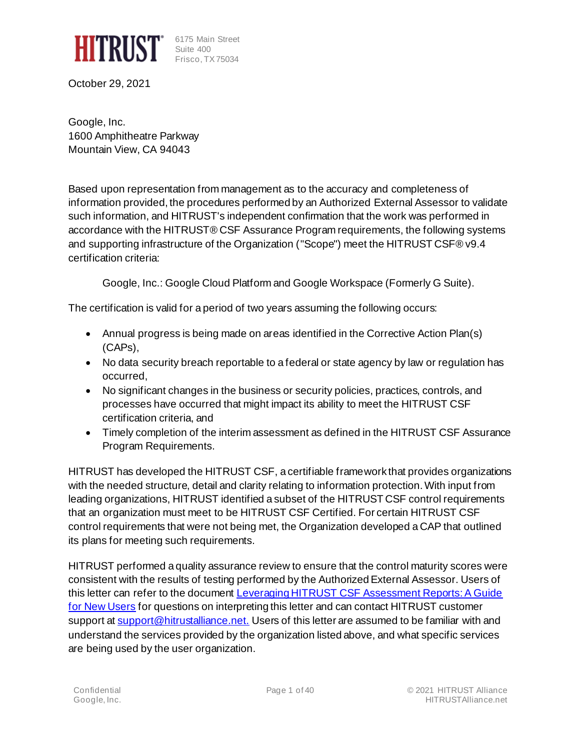

6175 Main Street Suite 400 Frisco, TX 75034

October 29, 2021

Google, Inc. 1600 Amphitheatre Parkway Mountain View, CA 94043

Based upon representation from management as to the accuracy and completeness of information provided, the procedures performed by an Authorized External Assessor to validate such information, and HITRUST's independent confirmation that the work was performed in accordance with the HITRUST® CSF Assurance Program requirements, the following systems and supporting infrastructure of the Organization ("Scope") meet the HITRUST CSF® v9.4 certification criteria:

Google, Inc.: Google Cloud Platform and Google Workspace (Formerly G Suite).

The certification is valid for a period of two years assuming the following occurs:

- Annual progress is being made on areas identified in the Corrective Action Plan(s) (CAPs),
- No data security breach reportable to a federal or state agency by law or regulation has occurred,
- No significant changes in the business or security policies, practices, controls, and processes have occurred that might impact its ability to meet the HITRUST CSF certification criteria, and
- Timely completion of the interim assessment as defined in the HITRUST CSF Assurance Program Requirements.

HITRUST has developed the HITRUST CSF, a certifiable framework that provides organizations with the needed structure, detail and clarity relating to information protection. With input from leading organizations, HITRUST identified a subset of the HITRUST CSF control requirements that an organization must meet to be HITRUST CSF Certified. For certain HITRUST CSF control requirements that were not being met, the Organization developed a CAP that outlined its plans for meeting such requirements.

HITRUST performed a quality assurance review to ensure that the control maturity scores were consistent with the results of testing performed by the Authorized External Assessor. Users of this letter can refer to the document Leveraging HITRUST CSF Assessment Reports: A Guide [for New Users](https://hitrustalliance.net/content/uploads/Leveraging-CSF-v9-Assessment-Reports.pdf) for questions on interpreting this letter and can contact HITRUST customer support at [support@hitrustalliance.net.](mailto:support@hitrustalliance.net) Users of this letter are assumed to be familiar with and understand the services provided by the organization listed above, and what specific services are being used by the user organization.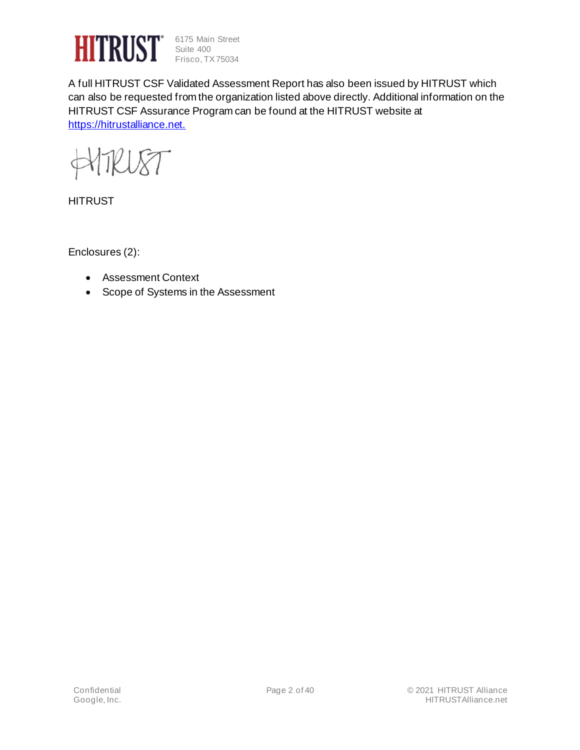

6175 Main Street Suite 400 Frisco, TX 75034

A full HITRUST CSF Validated Assessment Report has also been issued by HITRUST which can also be requested from the organization listed above directly. Additional information on the HITRUST CSF Assurance Program can be found at the HITRUST website at [https://hitrustalliance.net.](https://hitrustalliance.net/)

HTRU8T

**HITRUST** 

Enclosures (2):

- Assessment Context
- Scope of Systems in the Assessment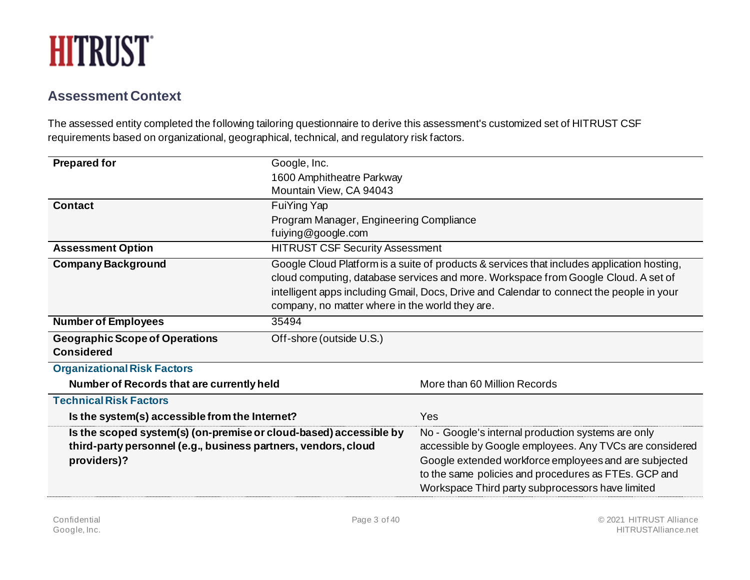

#### **Assessment Context**

The assessed entity completed the following tailoring questionnaire to derive this assessment's customized set of HITRUST CSF requirements based on organizational, geographical, technical, and regulatory risk factors.

| <b>Prepared for</b>                                                                                                                                | Google, Inc.                                    |                                                                                                                                                                                                                                                                                    |  |  |  |  |
|----------------------------------------------------------------------------------------------------------------------------------------------------|-------------------------------------------------|------------------------------------------------------------------------------------------------------------------------------------------------------------------------------------------------------------------------------------------------------------------------------------|--|--|--|--|
|                                                                                                                                                    | 1600 Amphitheatre Parkway                       |                                                                                                                                                                                                                                                                                    |  |  |  |  |
|                                                                                                                                                    | Mountain View, CA 94043                         |                                                                                                                                                                                                                                                                                    |  |  |  |  |
| <b>Contact</b>                                                                                                                                     | FuiYing Yap                                     |                                                                                                                                                                                                                                                                                    |  |  |  |  |
|                                                                                                                                                    | Program Manager, Engineering Compliance         |                                                                                                                                                                                                                                                                                    |  |  |  |  |
|                                                                                                                                                    | fuiying@google.com                              |                                                                                                                                                                                                                                                                                    |  |  |  |  |
| <b>Assessment Option</b>                                                                                                                           | <b>HITRUST CSF Security Assessment</b>          |                                                                                                                                                                                                                                                                                    |  |  |  |  |
| <b>Company Background</b>                                                                                                                          |                                                 | Google Cloud Platform is a suite of products & services that includes application hosting,                                                                                                                                                                                         |  |  |  |  |
|                                                                                                                                                    |                                                 | cloud computing, database services and more. Workspace from Google Cloud. A set of                                                                                                                                                                                                 |  |  |  |  |
|                                                                                                                                                    |                                                 | intelligent apps including Gmail, Docs, Drive and Calendar to connect the people in your                                                                                                                                                                                           |  |  |  |  |
|                                                                                                                                                    | company, no matter where in the world they are. |                                                                                                                                                                                                                                                                                    |  |  |  |  |
| <b>Number of Employees</b>                                                                                                                         | 35494                                           |                                                                                                                                                                                                                                                                                    |  |  |  |  |
| <b>Geographic Scope of Operations</b>                                                                                                              | Off-shore (outside U.S.)                        |                                                                                                                                                                                                                                                                                    |  |  |  |  |
| <b>Considered</b>                                                                                                                                  |                                                 |                                                                                                                                                                                                                                                                                    |  |  |  |  |
| <b>Organizational Risk Factors</b>                                                                                                                 |                                                 |                                                                                                                                                                                                                                                                                    |  |  |  |  |
| Number of Records that are currently held                                                                                                          |                                                 | More than 60 Million Records                                                                                                                                                                                                                                                       |  |  |  |  |
| <b>Technical Risk Factors</b>                                                                                                                      |                                                 |                                                                                                                                                                                                                                                                                    |  |  |  |  |
| Is the system(s) accessible from the Internet?                                                                                                     |                                                 | Yes                                                                                                                                                                                                                                                                                |  |  |  |  |
| Is the scoped system(s) (on-premise or cloud-based) accessible by<br>third-party personnel (e.g., business partners, vendors, cloud<br>providers)? |                                                 | No - Google's internal production systems are only<br>accessible by Google employees. Any TVCs are considered<br>Google extended workforce employees and are subjected<br>to the same policies and procedures as FTEs. GCP and<br>Workspace Third party subprocessors have limited |  |  |  |  |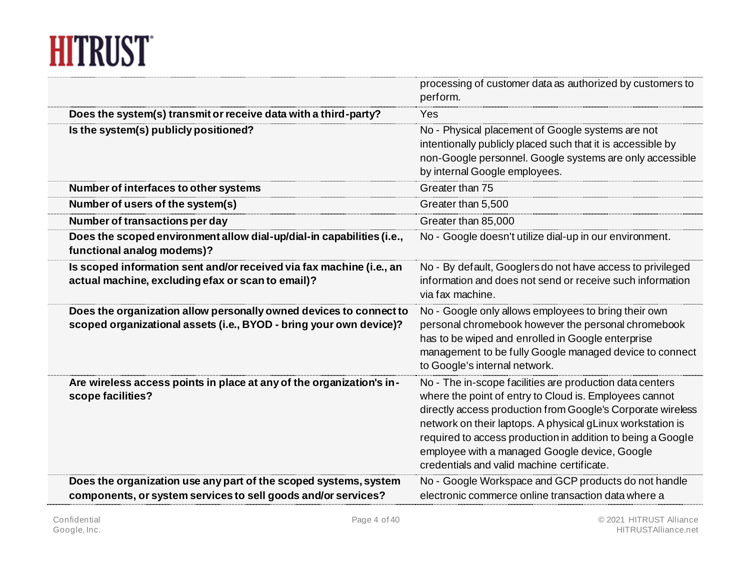### **HITRUST**

|                                                                                                                                          | processing of customer data as authorized by customers to<br>perform.                                                                                                                                                                                                                                                                                                                                         |
|------------------------------------------------------------------------------------------------------------------------------------------|---------------------------------------------------------------------------------------------------------------------------------------------------------------------------------------------------------------------------------------------------------------------------------------------------------------------------------------------------------------------------------------------------------------|
| Does the system(s) transmit or receive data with a third-party?                                                                          | Yes                                                                                                                                                                                                                                                                                                                                                                                                           |
| Is the system(s) publicly positioned?                                                                                                    | No - Physical placement of Google systems are not<br>intentionally publicly placed such that it is accessible by<br>non-Google personnel. Google systems are only accessible<br>by internal Google employees.                                                                                                                                                                                                 |
| Number of interfaces to other systems                                                                                                    | Greater than 75                                                                                                                                                                                                                                                                                                                                                                                               |
| Number of users of the system(s)                                                                                                         | Greater than 5,500                                                                                                                                                                                                                                                                                                                                                                                            |
| Number of transactions per day                                                                                                           | Greater than 85,000                                                                                                                                                                                                                                                                                                                                                                                           |
| Does the scoped environment allow dial-up/dial-in capabilities (i.e.,<br>functional analog modems)?                                      | No - Google doesn't utilize dial-up in our environment.                                                                                                                                                                                                                                                                                                                                                       |
| Is scoped information sent and/or received via fax machine (i.e., an<br>actual machine, excluding efax or scan to email)?                | No - By default, Googlers do not have access to privileged<br>information and does not send or receive such information<br>via fax machine.                                                                                                                                                                                                                                                                   |
| Does the organization allow personally owned devices to connect to<br>scoped organizational assets (i.e., BYOD - bring your own device)? | No - Google only allows employees to bring their own<br>personal chromebook however the personal chromebook<br>has to be wiped and enrolled in Google enterprise<br>management to be fully Google managed device to connect<br>to Google's internal network.                                                                                                                                                  |
| Are wireless access points in place at any of the organization's in-<br>scope facilities?                                                | No - The in-scope facilities are production data centers<br>where the point of entry to Cloud is. Employees cannot<br>directly access production from Google's Corporate wireless<br>network on their laptops. A physical gLinux workstation is<br>required to access production in addition to being a Google<br>employee with a managed Google device, Google<br>credentials and valid machine certificate. |
| Does the organization use any part of the scoped systems, system<br>components, or system services to sell goods and/or services?        | No - Google Workspace and GCP products do not handle<br>electronic commerce online transaction data where a                                                                                                                                                                                                                                                                                                   |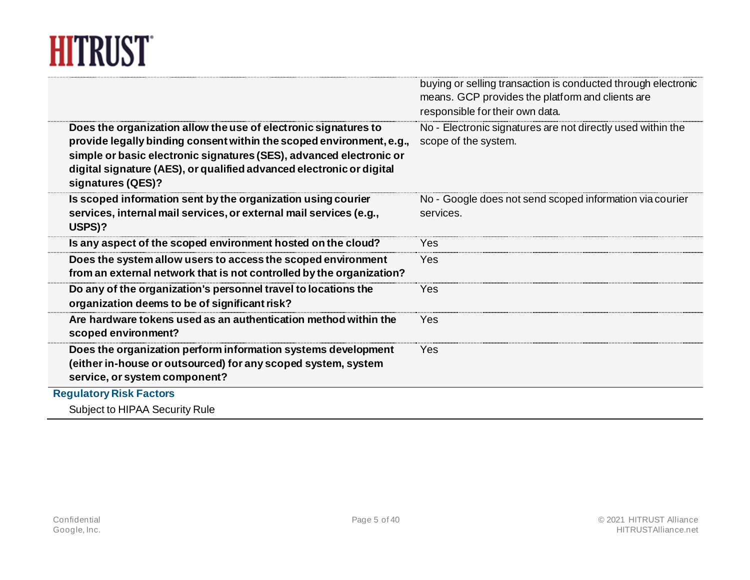# **HITRUST**

|                                                                                                                                                                  | buying or selling transaction is conducted through electronic<br>means. GCP provides the platform and clients are<br>responsible for their own data. |
|------------------------------------------------------------------------------------------------------------------------------------------------------------------|------------------------------------------------------------------------------------------------------------------------------------------------------|
| Does the organization allow the use of electronic signatures to<br>provide legally binding consent within the scoped environment, e.g.,                          | No - Electronic signatures are not directly used within the<br>scope of the system.                                                                  |
| simple or basic electronic signatures (SES), advanced electronic or<br>digital signature (AES), or qualified advanced electronic or digital<br>signatures (QES)? |                                                                                                                                                      |
| Is scoped information sent by the organization using courier                                                                                                     | No - Google does not send scoped information via courier                                                                                             |
| services, internal mail services, or external mail services (e.g.,<br>USPS)?                                                                                     | services.                                                                                                                                            |
| Is any aspect of the scoped environment hosted on the cloud?                                                                                                     | Yes                                                                                                                                                  |
| Does the system allow users to access the scoped environment<br>from an external network that is not controlled by the organization?                             | Yes                                                                                                                                                  |
| Do any of the organization's personnel travel to locations the<br>organization deems to be of significant risk?                                                  | Yes                                                                                                                                                  |
| Are hardware tokens used as an authentication method within the<br>scoped environment?                                                                           | Yes                                                                                                                                                  |
| Does the organization perform information systems development<br>(either in-house or outsourced) for any scoped system, system<br>service, or system component?  | Yes                                                                                                                                                  |
| <b>Regulatory Risk Factors</b>                                                                                                                                   |                                                                                                                                                      |
| Subject to HIPAA Security Rule                                                                                                                                   |                                                                                                                                                      |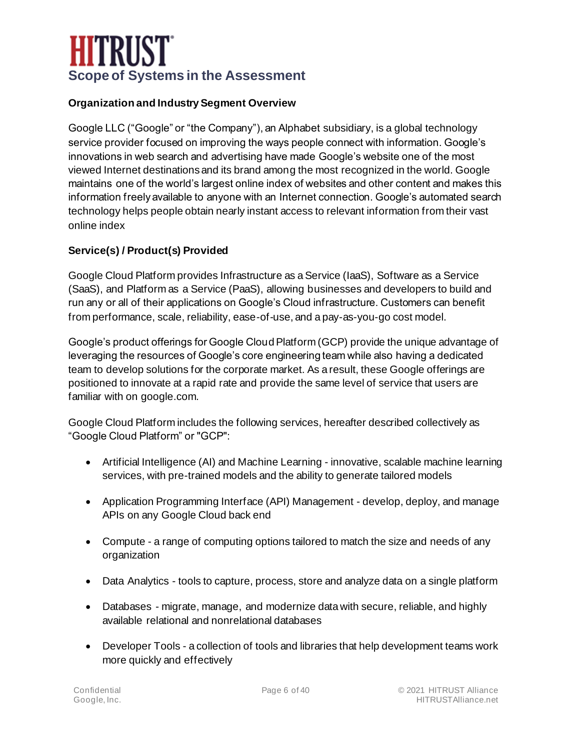### **HITRUST Scope of Systems in the Assessment**

#### **Organization and Industry Segment Overview**

Google LLC ("Google" or "the Company"), an Alphabet subsidiary, is a global technology service provider focused on improving the ways people connect with information. Google's innovations in web search and advertising have made Google's website one of the most viewed Internet destinations and its brand among the most recognized in the world. Google maintains one of the world's largest online index of websites and other content and makes this information freely available to anyone with an Internet connection. Google's automated search technology helps people obtain nearly instant access to relevant information from their vast online index

#### **Service(s) / Product(s) Provided**

Google Cloud Platform provides Infrastructure as a Service (IaaS), Software as a Service (SaaS), and Platform as a Service (PaaS), allowing businesses and developers to build and run any or all of their applications on Google's Cloud infrastructure. Customers can benefit from performance, scale, reliability, ease-of-use, and a pay-as-you-go cost model.

Google's product offerings for Google Cloud Platform (GCP) provide the unique advantage of leveraging the resources of Google's core engineering team while also having a dedicated team to develop solutions for the corporate market. As a result, these Google offerings are positioned to innovate at a rapid rate and provide the same level of service that users are familiar with on google.com.

Google Cloud Platform includes the following services, hereafter described collectively as "Google Cloud Platform" or "GCP":

- Artificial Intelligence (AI) and Machine Learning innovative, scalable machine learning services, with pre-trained models and the ability to generate tailored models
- Application Programming Interface (API) Management develop, deploy, and manage APIs on any Google Cloud back end
- Compute a range of computing options tailored to match the size and needs of any organization
- Data Analytics tools to capture, process, store and analyze data on a single platform
- Databases migrate, manage, and modernize data with secure, reliable, and highly available relational and nonrelational databases
- Developer Tools a collection of tools and libraries that help development teams work more quickly and effectively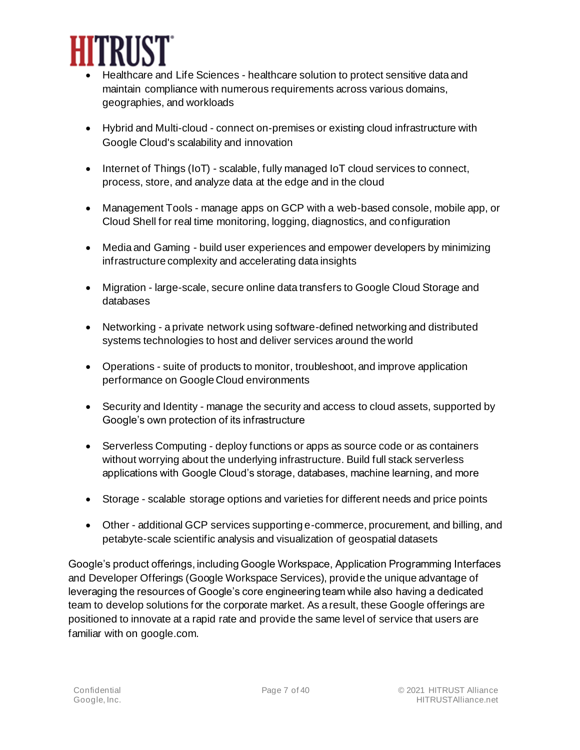

- Healthcare and Life Sciences healthcare solution to protect sensitive data and maintain compliance with numerous requirements across various domains, geographies, and workloads
- Hybrid and Multi-cloud connect on-premises or existing cloud infrastructure with Google Cloud's scalability and innovation
- Internet of Things (IoT) scalable, fully managed IoT cloud services to connect, process, store, and analyze data at the edge and in the cloud
- Management Tools manage apps on GCP with a web-based console, mobile app, or Cloud Shell for real time monitoring, logging, diagnostics, and configuration
- Media and Gaming build user experiences and empower developers by minimizing infrastructure complexity and accelerating data insights
- Migration large-scale, secure online data transfers to Google Cloud Storage and databases
- Networking a private network using software-defined networking and distributed systems technologies to host and deliver services around the world
- Operations suite of products to monitor, troubleshoot, and improve application performance on Google Cloud environments
- Security and Identity manage the security and access to cloud assets, supported by Google's own protection of its infrastructure
- Serverless Computing deploy functions or apps as source code or as containers without worrying about the underlying infrastructure. Build full stack serverless applications with Google Cloud's storage, databases, machine learning, and more
- Storage scalable storage options and varieties for different needs and price points
- Other additional GCP services supporting e-commerce, procurement, and billing, and petabyte-scale scientific analysis and visualization of geospatial datasets

Google's product offerings, including Google Workspace, Application Programming Interfaces and Developer Offerings (Google Workspace Services), provide the unique advantage of leveraging the resources of Google's core engineering team while also having a dedicated team to develop solutions for the corporate market. As a result, these Google offerings are positioned to innovate at a rapid rate and provide the same level of service that users are familiar with on google.com.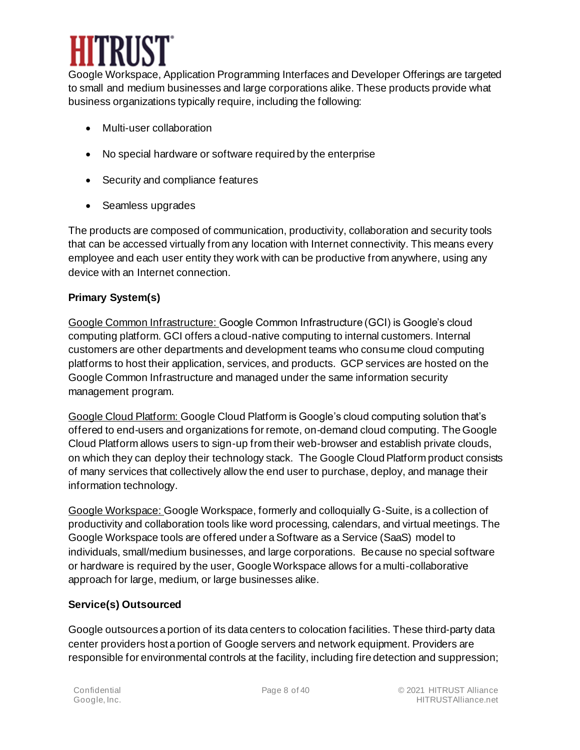

Google Workspace, Application Programming Interfaces and Developer Offerings are targeted to small and medium businesses and large corporations alike. These products provide what business organizations typically require, including the following:

- Multi-user collaboration
- No special hardware or software required by the enterprise
- Security and compliance features
- Seamless upgrades

The products are composed of communication, productivity, collaboration and security tools that can be accessed virtually from any location with Internet connectivity. This means every employee and each user entity they work with can be productive from anywhere, using any device with an Internet connection.

#### **Primary System(s)**

Google Common Infrastructure: Google Common Infrastructure (GCI) is Google's cloud computing platform. GCI offers a cloud-native computing to internal customers. Internal customers are other departments and development teams who consume cloud computing platforms to host their application, services, and products. GCP services are hosted on the Google Common Infrastructure and managed under the same information security management program.

Google Cloud Platform: Google Cloud Platform is Google's cloud computing solution that's offered to end-users and organizations for remote, on-demand cloud computing. The Google Cloud Platform allows users to sign-up from their web-browser and establish private clouds, on which they can deploy their technology stack. The Google Cloud Platform product consists of many services that collectively allow the end user to purchase, deploy, and manage their information technology.

Google Workspace: Google Workspace, formerly and colloquially G-Suite, is a collection of productivity and collaboration tools like word processing, calendars, and virtual meetings. The Google Workspace tools are offered under a Software as a Service (SaaS) model to individuals, small/medium businesses, and large corporations. Because no special software or hardware is required by the user, Google Workspace allows for a multi-collaborative approach for large, medium, or large businesses alike.

#### **Service(s) Outsourced**

Google outsources a portion of its data centers to colocation facilities. These third-party data center providers host a portion of Google servers and network equipment. Providers are responsible for environmental controls at the facility, including fire detection and suppression;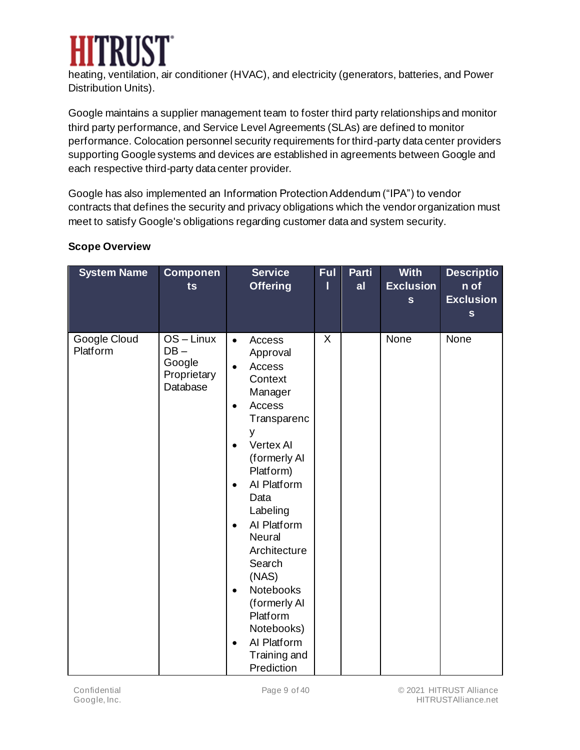

heating, ventilation, air conditioner (HVAC), and electricity (generators, batteries, and Power Distribution Units).

Google maintains a supplier management team to foster third party relationships and monitor third party performance, and Service Level Agreements (SLAs) are defined to monitor performance. Colocation personnel security requirements for third-party data center providers supporting Google systems and devices are established in agreements between Google and each respective third-party data center provider.

Google has also implemented an Information Protection Addendum ("IPA") to vendor contracts that defines the security and privacy obligations which the vendor organization must meet to satisfy Google's obligations regarding customer data and system security.

| <b>System Name</b>       | <b>Componen</b><br>ts                                   | <b>Service</b><br><b>Offering</b>                                                                                                                                                                                                                                                                                                                                                                                                                   | <b>Ful</b><br>ı | Parti<br>al | <b>With</b><br><b>Exclusion</b><br>$\mathbf{s}$ | <b>Descriptio</b><br>n of<br><b>Exclusion</b><br>$\mathbf{s}$ |
|--------------------------|---------------------------------------------------------|-----------------------------------------------------------------------------------------------------------------------------------------------------------------------------------------------------------------------------------------------------------------------------------------------------------------------------------------------------------------------------------------------------------------------------------------------------|-----------------|-------------|-------------------------------------------------|---------------------------------------------------------------|
| Google Cloud<br>Platform | OS-Linux<br>$DB -$<br>Google<br>Proprietary<br>Database | Access<br>$\bullet$<br>Approval<br>Access<br>$\bullet$<br>Context<br>Manager<br>Access<br>$\bullet$<br>Transparenc<br>٧<br><b>Vertex Al</b><br>$\bullet$<br>(formerly Al<br>Platform)<br>Al Platform<br>$\bullet$<br>Data<br>Labeling<br>Al Platform<br>$\bullet$<br>Neural<br>Architecture<br>Search<br>(NAS)<br><b>Notebooks</b><br>$\bullet$<br>(formerly Al<br>Platform<br>Notebooks)<br>Al Platform<br>$\bullet$<br>Training and<br>Prediction | $\times$        |             | None                                            | None                                                          |

#### **Scope Overview**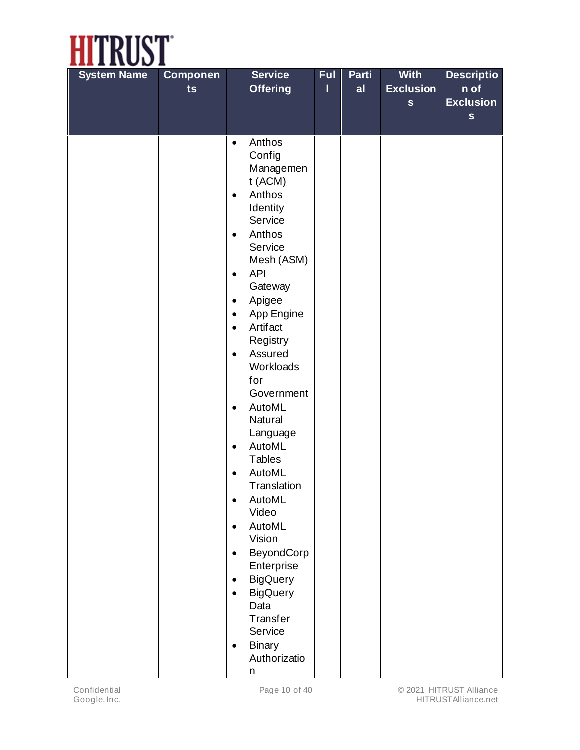

| <b>System Name</b> | <b>Componen</b><br>ts | <b>Service</b><br><b>Offering</b>                                                                                                                                                                                                                                                                                                                                                                                                                                                                                                                                                                                                                                                                                                  | <b>Ful</b><br>ı | Parti<br>al | <b>With</b><br><b>Exclusion</b><br>$\mathbf{s}$ | <b>Descriptio</b><br>n of<br><b>Exclusion</b> |
|--------------------|-----------------------|------------------------------------------------------------------------------------------------------------------------------------------------------------------------------------------------------------------------------------------------------------------------------------------------------------------------------------------------------------------------------------------------------------------------------------------------------------------------------------------------------------------------------------------------------------------------------------------------------------------------------------------------------------------------------------------------------------------------------------|-----------------|-------------|-------------------------------------------------|-----------------------------------------------|
|                    |                       |                                                                                                                                                                                                                                                                                                                                                                                                                                                                                                                                                                                                                                                                                                                                    |                 |             |                                                 | ${\bf s}$                                     |
|                    |                       | Anthos<br>$\bullet$<br>Config<br>Managemen<br>t (ACM)<br>Anthos<br>$\bullet$<br>Identity<br>Service<br>Anthos<br>$\bullet$<br>Service<br>Mesh (ASM)<br><b>API</b><br>$\bullet$<br>Gateway<br>Apigee<br>$\bullet$<br>App Engine<br>$\bullet$<br>Artifact<br>$\bullet$<br>Registry<br>Assured<br>$\bullet$<br>Workloads<br>for<br>Government<br>AutoML<br>$\bullet$<br>Natural<br>Language<br>AutoML<br>$\bullet$<br><b>Tables</b><br>AutoML<br>$\bullet$<br>Translation<br>AutoML<br>$\bullet$<br>Video<br>AutoML<br>$\bullet$<br>Vision<br>BeyondCorp<br>$\bullet$<br>Enterprise<br><b>BigQuery</b><br>$\bullet$<br><b>BigQuery</b><br>$\bullet$<br>Data<br>Transfer<br>Service<br><b>Binary</b><br>$\bullet$<br>Authorizatio<br>n |                 |             |                                                 |                                               |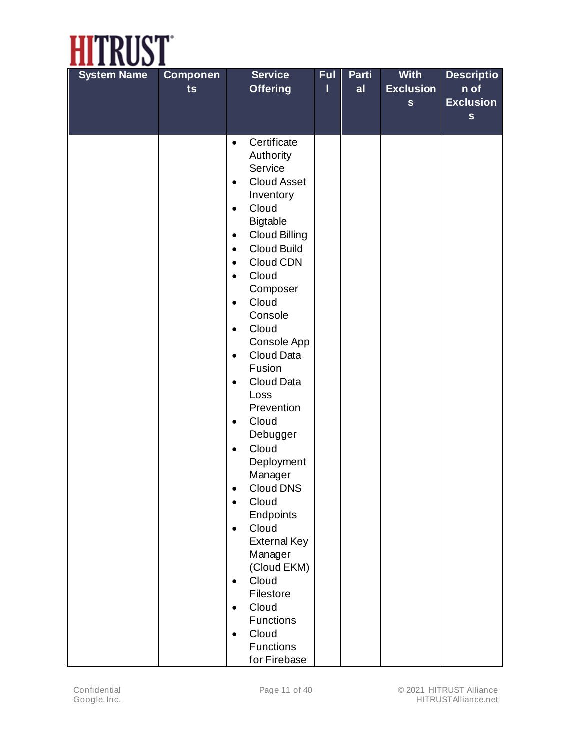

| <b>System Name</b> | <b>Componen</b> | <b>Service</b>                               | <b>Ful</b> | Parti | <b>With</b>      | <b>Descriptio</b> |
|--------------------|-----------------|----------------------------------------------|------------|-------|------------------|-------------------|
|                    | ts              | <b>Offering</b>                              | ı          | al    | <b>Exclusion</b> | n of              |
|                    |                 |                                              |            |       | $\mathbf{s}$     | <b>Exclusion</b>  |
|                    |                 |                                              |            |       |                  | $\mathbf S$       |
|                    |                 | Certificate<br>$\bullet$                     |            |       |                  |                   |
|                    |                 | Authority                                    |            |       |                  |                   |
|                    |                 | Service                                      |            |       |                  |                   |
|                    |                 | <b>Cloud Asset</b><br>$\bullet$              |            |       |                  |                   |
|                    |                 | Inventory                                    |            |       |                  |                   |
|                    |                 | Cloud<br>$\bullet$                           |            |       |                  |                   |
|                    |                 | <b>Bigtable</b>                              |            |       |                  |                   |
|                    |                 | <b>Cloud Billing</b><br>$\bullet$            |            |       |                  |                   |
|                    |                 | <b>Cloud Build</b><br>$\bullet$              |            |       |                  |                   |
|                    |                 | Cloud CDN<br>$\bullet$<br>Cloud<br>$\bullet$ |            |       |                  |                   |
|                    |                 | Composer                                     |            |       |                  |                   |
|                    |                 | Cloud<br>$\bullet$                           |            |       |                  |                   |
|                    |                 | Console                                      |            |       |                  |                   |
|                    |                 | Cloud<br>$\bullet$                           |            |       |                  |                   |
|                    |                 | Console App                                  |            |       |                  |                   |
|                    |                 | Cloud Data<br>$\bullet$                      |            |       |                  |                   |
|                    |                 | Fusion                                       |            |       |                  |                   |
|                    |                 | Cloud Data<br>$\bullet$                      |            |       |                  |                   |
|                    |                 | Loss<br>Prevention                           |            |       |                  |                   |
|                    |                 | Cloud<br>$\bullet$                           |            |       |                  |                   |
|                    |                 | Debugger                                     |            |       |                  |                   |
|                    |                 | Cloud<br>$\bullet$                           |            |       |                  |                   |
|                    |                 | Deployment                                   |            |       |                  |                   |
|                    |                 | Manager                                      |            |       |                  |                   |
|                    |                 | <b>Cloud DNS</b><br>٠                        |            |       |                  |                   |
|                    |                 | Cloud<br>$\bullet$                           |            |       |                  |                   |
|                    |                 | Endpoints                                    |            |       |                  |                   |
|                    |                 | Cloud<br>$\bullet$                           |            |       |                  |                   |
|                    |                 | <b>External Key</b>                          |            |       |                  |                   |
|                    |                 | Manager<br>(Cloud EKM)                       |            |       |                  |                   |
|                    |                 | Cloud<br>$\bullet$                           |            |       |                  |                   |
|                    |                 | Filestore                                    |            |       |                  |                   |
|                    |                 | Cloud<br>$\bullet$                           |            |       |                  |                   |
|                    |                 | <b>Functions</b>                             |            |       |                  |                   |
|                    |                 | Cloud<br>$\bullet$                           |            |       |                  |                   |
|                    |                 | <b>Functions</b>                             |            |       |                  |                   |
|                    |                 | for Firebase                                 |            |       |                  |                   |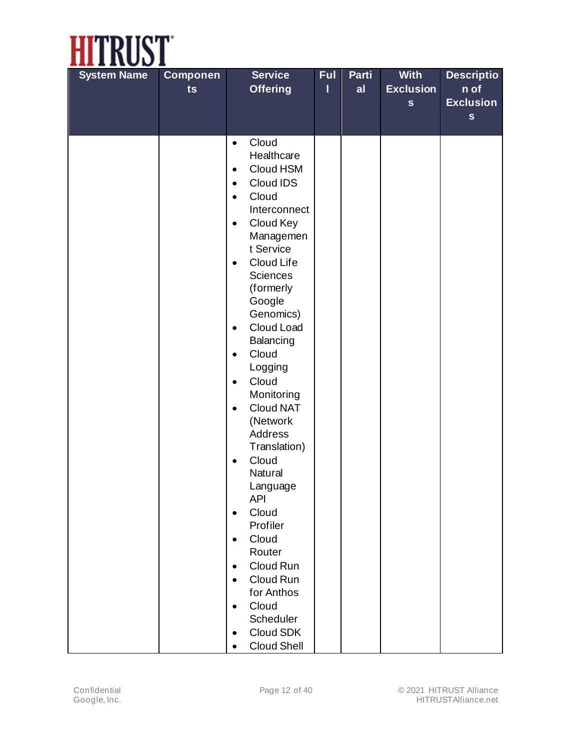

| <b>System Name</b> | <b>Componen</b> | <b>Service</b>                                                                                                                                                                                                                                                                                                                                                                                                                                                                                                                                                                                                                                               | <b>Ful</b> | Parti | <b>With</b>      | <b>Descriptio</b> |
|--------------------|-----------------|--------------------------------------------------------------------------------------------------------------------------------------------------------------------------------------------------------------------------------------------------------------------------------------------------------------------------------------------------------------------------------------------------------------------------------------------------------------------------------------------------------------------------------------------------------------------------------------------------------------------------------------------------------------|------------|-------|------------------|-------------------|
|                    | ts              | <b>Offering</b>                                                                                                                                                                                                                                                                                                                                                                                                                                                                                                                                                                                                                                              | ı          | al    | <b>Exclusion</b> | n of              |
|                    |                 |                                                                                                                                                                                                                                                                                                                                                                                                                                                                                                                                                                                                                                                              |            |       | $\mathbf{s}$     | <b>Exclusion</b>  |
|                    |                 |                                                                                                                                                                                                                                                                                                                                                                                                                                                                                                                                                                                                                                                              |            |       |                  | $\mathbf{s}$      |
|                    |                 | Cloud<br>$\bullet$<br>Healthcare<br>Cloud HSM<br>$\bullet$<br>Cloud IDS<br>$\bullet$<br>Cloud<br>$\bullet$<br>Interconnect<br>Cloud Key<br>$\bullet$<br>Managemen<br>t Service<br>Cloud Life<br>$\bullet$<br>Sciences<br>(formerly<br>Google<br>Genomics)<br>Cloud Load<br>$\bullet$<br>Balancing<br>Cloud<br>$\bullet$<br>Logging<br>Cloud<br>$\bullet$<br>Monitoring<br>Cloud NAT<br>$\bullet$<br>(Network<br>Address<br>Translation)<br>Cloud<br>$\bullet$<br>Natural<br>Language<br><b>API</b><br>Cloud<br>$\bullet$<br>Profiler<br>Cloud<br>$\bullet$<br>Router<br>Cloud Run<br>$\bullet$<br>Cloud Run<br>$\bullet$<br>for Anthos<br>Cloud<br>$\bullet$ |            |       |                  |                   |
|                    |                 | Scheduler                                                                                                                                                                                                                                                                                                                                                                                                                                                                                                                                                                                                                                                    |            |       |                  |                   |
|                    |                 | Cloud SDK<br>$\bullet$                                                                                                                                                                                                                                                                                                                                                                                                                                                                                                                                                                                                                                       |            |       |                  |                   |
|                    |                 | Cloud Shell<br>$\bullet$                                                                                                                                                                                                                                                                                                                                                                                                                                                                                                                                                                                                                                     |            |       |                  |                   |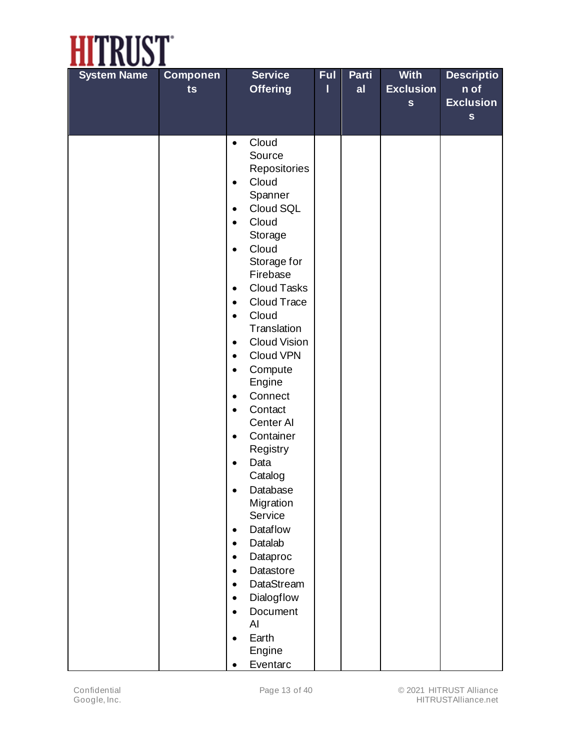

| <b>System Name</b> | <b>Componen</b> | <b>Service</b>                                                                                                                                                                                                                                                                                                                                                                                                                                                                                               | <b>Ful</b> | Parti | <b>With</b>      | <b>Descriptio</b> |
|--------------------|-----------------|--------------------------------------------------------------------------------------------------------------------------------------------------------------------------------------------------------------------------------------------------------------------------------------------------------------------------------------------------------------------------------------------------------------------------------------------------------------------------------------------------------------|------------|-------|------------------|-------------------|
|                    | ts              | <b>Offering</b>                                                                                                                                                                                                                                                                                                                                                                                                                                                                                              | I          | al    | <b>Exclusion</b> | n of              |
|                    |                 |                                                                                                                                                                                                                                                                                                                                                                                                                                                                                                              |            |       | $\mathbf{s}$     | <b>Exclusion</b>  |
|                    |                 |                                                                                                                                                                                                                                                                                                                                                                                                                                                                                                              |            |       |                  | $\mathbf{s}$      |
|                    |                 | Cloud<br>$\bullet$<br>Source<br>Repositories<br>Cloud<br>$\bullet$<br>Spanner<br>Cloud SQL<br>$\bullet$<br>Cloud<br>$\bullet$<br>Storage<br>$\bullet$                                                                                                                                                                                                                                                                                                                                                        |            |       |                  |                   |
|                    |                 | Cloud<br>Storage for<br>Firebase<br><b>Cloud Tasks</b><br>$\bullet$<br>Cloud Trace<br>$\bullet$<br>Cloud<br>$\bullet$<br>Translation<br>Cloud Vision<br>$\bullet$<br>Cloud VPN<br>$\bullet$<br>Compute<br>$\bullet$<br>Engine<br>Connect<br>$\bullet$<br>Contact<br>$\bullet$<br>Center Al<br>Container<br>$\bullet$<br>Registry<br>Data<br>$\bullet$<br>Catalog<br>Database<br>٠<br>Migration<br>Service<br><b>Dataflow</b><br>$\bullet$<br>Datalab<br>$\bullet$<br>Dataproc<br>٠<br>Datastore<br>$\bullet$ |            |       |                  |                   |
|                    |                 | <b>DataStream</b><br>$\bullet$<br>Dialogflow<br>$\bullet$<br>Document<br>$\bullet$<br>AI<br>Earth<br>$\bullet$<br>Engine<br>Eventarc<br>$\bullet$                                                                                                                                                                                                                                                                                                                                                            |            |       |                  |                   |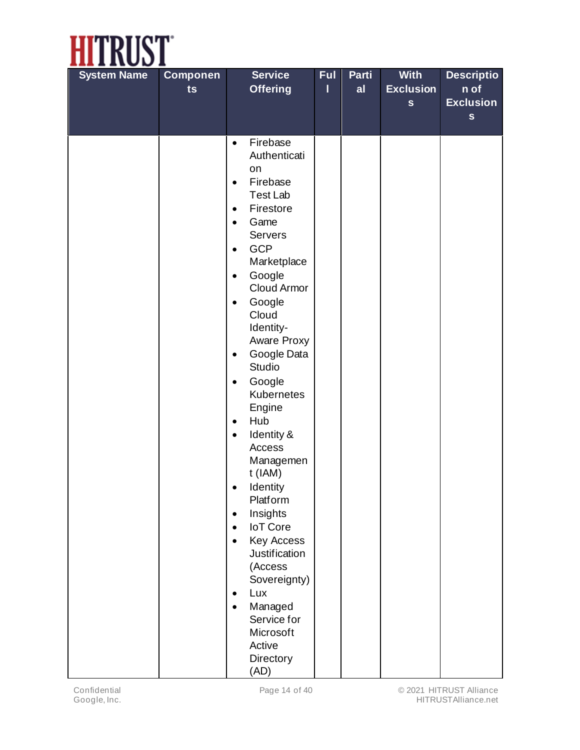

| <b>System Name</b> | <b>Componen</b><br>ts | <b>Service</b><br><b>Offering</b>                                                                                                                                                                                                                                                                                                                                                                                                                                                                                                                                                                                                                                                                                                    | <b>Ful</b><br>ı | Parti<br>al | <b>With</b><br><b>Exclusion</b><br>$\mathbf{s}$ | <b>Descriptio</b><br>n of<br><b>Exclusion</b><br>$\mathbf S$ |
|--------------------|-----------------------|--------------------------------------------------------------------------------------------------------------------------------------------------------------------------------------------------------------------------------------------------------------------------------------------------------------------------------------------------------------------------------------------------------------------------------------------------------------------------------------------------------------------------------------------------------------------------------------------------------------------------------------------------------------------------------------------------------------------------------------|-----------------|-------------|-------------------------------------------------|--------------------------------------------------------------|
|                    |                       | Firebase<br>$\bullet$<br>Authenticati<br>on<br>Firebase<br>$\bullet$<br>Test Lab<br>Firestore<br>$\bullet$<br>Game<br>$\bullet$<br>Servers<br><b>GCP</b><br>$\bullet$<br>Marketplace<br>Google<br>$\bullet$<br>Cloud Armor<br>Google<br>$\bullet$<br>Cloud<br>Identity-<br>Aware Proxy<br>Google Data<br>$\bullet$<br>Studio<br>Google<br>$\bullet$<br>Kubernetes<br>Engine<br>Hub<br>$\bullet$<br>Identity &<br>$\bullet$<br>Access<br>Managemen<br>$t$ (IAM)<br>Identity<br>Platform<br>Insights<br>$\bullet$<br><b>IoT</b> Core<br>$\bullet$<br>Key Access<br>$\bullet$<br><b>Justification</b><br>(Access<br>Sovereignty)<br>Lux<br>$\bullet$<br>Managed<br>$\bullet$<br>Service for<br>Microsoft<br>Active<br>Directory<br>(AD) |                 |             |                                                 |                                                              |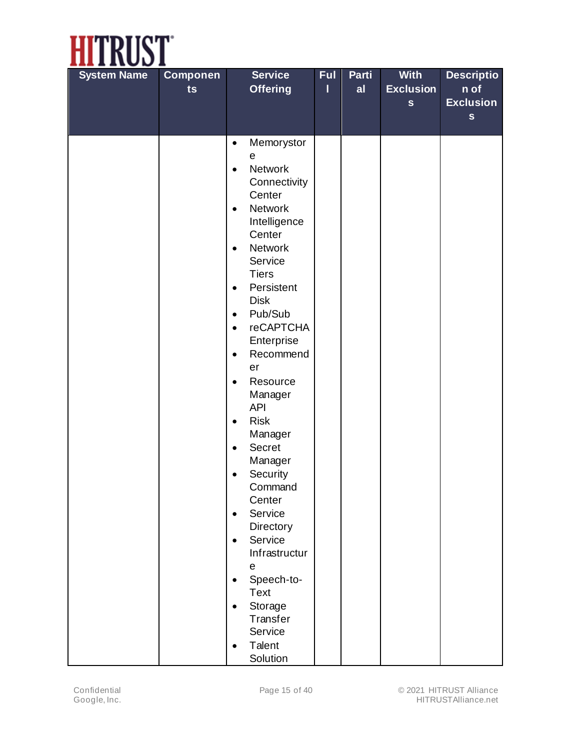

| <b>System Name</b> | <b>Componen</b><br>ts | <b>Service</b><br><b>Offering</b>           | <b>Ful</b><br>ı | Parti<br>al | <b>With</b><br><b>Exclusion</b> | <b>Descriptio</b><br>n of |
|--------------------|-----------------------|---------------------------------------------|-----------------|-------------|---------------------------------|---------------------------|
|                    |                       |                                             |                 |             | $\mathbf{s}$                    | <b>Exclusion</b>          |
|                    |                       |                                             |                 |             |                                 | $\mathbf{s}$              |
|                    |                       |                                             |                 |             |                                 |                           |
|                    |                       | Memorystor<br>$\bullet$                     |                 |             |                                 |                           |
|                    |                       | $\mathbf e$                                 |                 |             |                                 |                           |
|                    |                       | <b>Network</b><br>$\bullet$<br>Connectivity |                 |             |                                 |                           |
|                    |                       | Center                                      |                 |             |                                 |                           |
|                    |                       | <b>Network</b><br>$\bullet$                 |                 |             |                                 |                           |
|                    |                       | Intelligence                                |                 |             |                                 |                           |
|                    |                       | Center                                      |                 |             |                                 |                           |
|                    |                       | <b>Network</b><br>$\bullet$<br>Service      |                 |             |                                 |                           |
|                    |                       | <b>Tiers</b>                                |                 |             |                                 |                           |
|                    |                       | Persistent<br>$\bullet$                     |                 |             |                                 |                           |
|                    |                       | <b>Disk</b>                                 |                 |             |                                 |                           |
|                    |                       | Pub/Sub<br>$\bullet$                        |                 |             |                                 |                           |
|                    |                       | <b>reCAPTCHA</b><br>$\bullet$               |                 |             |                                 |                           |
|                    |                       | Enterprise<br>Recommend<br>$\bullet$        |                 |             |                                 |                           |
|                    |                       | er                                          |                 |             |                                 |                           |
|                    |                       | Resource<br>$\bullet$                       |                 |             |                                 |                           |
|                    |                       | Manager                                     |                 |             |                                 |                           |
|                    |                       | <b>API</b>                                  |                 |             |                                 |                           |
|                    |                       | <b>Risk</b><br>$\bullet$<br>Manager         |                 |             |                                 |                           |
|                    |                       | <b>Secret</b><br>$\bullet$                  |                 |             |                                 |                           |
|                    |                       | Manager                                     |                 |             |                                 |                           |
|                    |                       | Security<br>$\bullet$                       |                 |             |                                 |                           |
|                    |                       | Command                                     |                 |             |                                 |                           |
|                    |                       | Center<br>Service<br>$\bullet$              |                 |             |                                 |                           |
|                    |                       | Directory                                   |                 |             |                                 |                           |
|                    |                       | Service<br>$\bullet$                        |                 |             |                                 |                           |
|                    |                       | Infrastructur                               |                 |             |                                 |                           |
|                    |                       | $\mathsf e$                                 |                 |             |                                 |                           |
|                    |                       | Speech-to-<br>$\bullet$                     |                 |             |                                 |                           |
|                    |                       | <b>Text</b><br>Storage<br>$\bullet$         |                 |             |                                 |                           |
|                    |                       | Transfer                                    |                 |             |                                 |                           |
|                    |                       | Service                                     |                 |             |                                 |                           |
|                    |                       | Talent<br>$\bullet$                         |                 |             |                                 |                           |
|                    |                       | Solution                                    |                 |             |                                 |                           |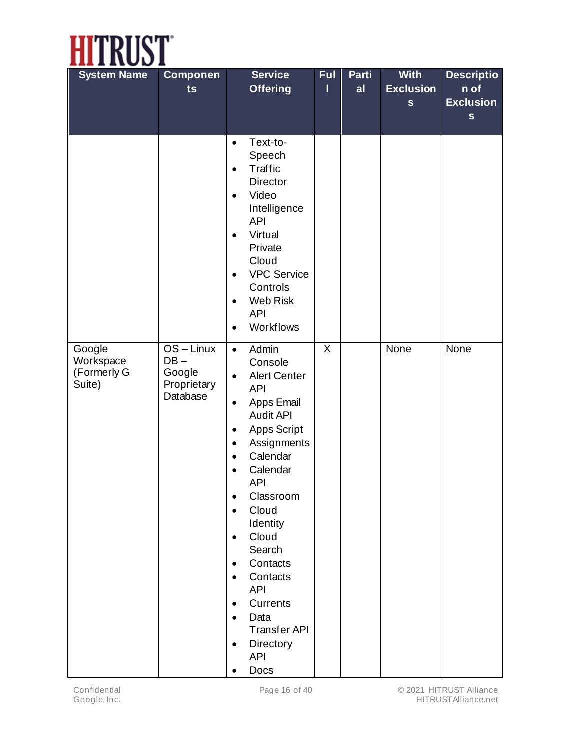

| <b>System Name</b>                           | <b>Componen</b><br>ts                                       | <b>Service</b><br><b>Offering</b>                                                                                                                                                                                                                                                                                                                                                                                                                                                                                                                           | <b>Ful</b><br>ı | Parti<br>al | <b>With</b><br><b>Exclusion</b><br>$\mathbf{s}$ | <b>Descriptio</b><br>n of<br><b>Exclusion</b><br>$\mathbf S$ |
|----------------------------------------------|-------------------------------------------------------------|-------------------------------------------------------------------------------------------------------------------------------------------------------------------------------------------------------------------------------------------------------------------------------------------------------------------------------------------------------------------------------------------------------------------------------------------------------------------------------------------------------------------------------------------------------------|-----------------|-------------|-------------------------------------------------|--------------------------------------------------------------|
|                                              |                                                             | Text-to-<br>$\bullet$<br>Speech<br>Traffic<br>$\bullet$<br><b>Director</b><br>Video<br>$\bullet$<br>Intelligence<br><b>API</b><br>Virtual<br>$\bullet$<br>Private<br>Cloud<br><b>VPC Service</b><br>$\bullet$<br>Controls<br>Web Risk<br>$\bullet$<br><b>API</b><br>Workflows<br>$\bullet$                                                                                                                                                                                                                                                                  |                 |             |                                                 |                                                              |
| Google<br>Workspace<br>(Formerly G<br>Suite) | $OS - Linux$<br>$DB -$<br>Google<br>Proprietary<br>Database | Admin<br>$\bullet$<br>Console<br><b>Alert Center</b><br>$\bullet$<br><b>API</b><br>Apps Email<br>$\bullet$<br><b>Audit API</b><br>Apps Script<br>$\bullet$<br>Assignments<br>$\bullet$<br>Calendar<br>$\bullet$<br>Calendar<br>$\bullet$<br><b>API</b><br>Classroom<br>$\bullet$<br>Cloud<br>$\bullet$<br>Identity<br>Cloud<br>$\bullet$<br>Search<br>Contacts<br>$\bullet$<br>Contacts<br>$\bullet$<br><b>API</b><br><b>Currents</b><br>$\bullet$<br>Data<br>$\bullet$<br><b>Transfer API</b><br>Directory<br>$\bullet$<br><b>API</b><br>Docs<br>$\bullet$ | X               |             | None                                            | None                                                         |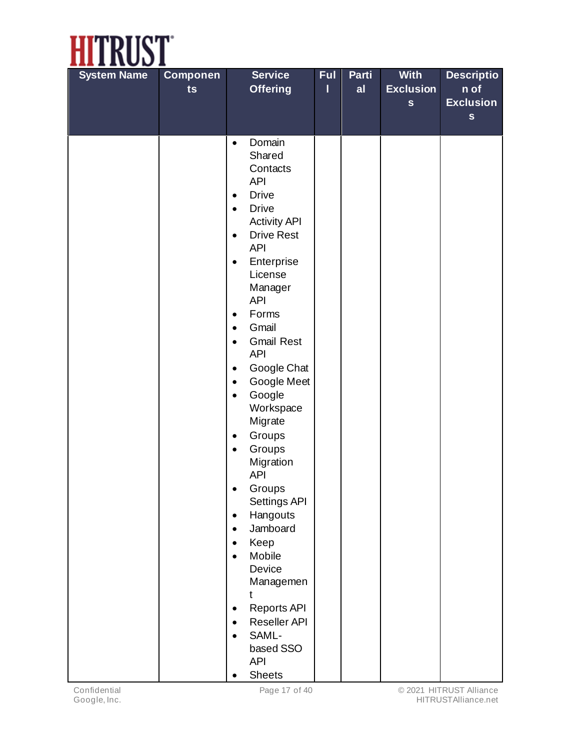

| <b>System Name</b> | <b>Componen</b> | <b>Service</b>                                         | <b>Ful</b> | Parti | <b>With</b>      | <b>Descriptio</b>        |
|--------------------|-----------------|--------------------------------------------------------|------------|-------|------------------|--------------------------|
|                    | ts              | <b>Offering</b>                                        | ı          | al    | <b>Exclusion</b> | n of<br><b>Exclusion</b> |
|                    |                 |                                                        |            |       | $\mathbf{s}$     | $\mathbf S$              |
|                    |                 |                                                        |            |       |                  |                          |
|                    |                 | Domain<br>$\bullet$                                    |            |       |                  |                          |
|                    |                 | Shared<br>Contacts                                     |            |       |                  |                          |
|                    |                 | <b>API</b>                                             |            |       |                  |                          |
|                    |                 | <b>Drive</b><br>$\bullet$                              |            |       |                  |                          |
|                    |                 | <b>Drive</b><br>$\bullet$                              |            |       |                  |                          |
|                    |                 | <b>Activity API</b>                                    |            |       |                  |                          |
|                    |                 | <b>Drive Rest</b><br>$\bullet$<br><b>API</b>           |            |       |                  |                          |
|                    |                 | Enterprise<br>$\bullet$                                |            |       |                  |                          |
|                    |                 | License                                                |            |       |                  |                          |
|                    |                 | Manager<br><b>API</b>                                  |            |       |                  |                          |
|                    |                 | Forms<br>$\bullet$                                     |            |       |                  |                          |
|                    |                 | Gmail<br>$\bullet$                                     |            |       |                  |                          |
|                    |                 | <b>Gmail Rest</b><br>$\bullet$                         |            |       |                  |                          |
|                    |                 | <b>API</b>                                             |            |       |                  |                          |
|                    |                 | Google Chat<br>$\bullet$<br>Google Meet<br>$\bullet$   |            |       |                  |                          |
|                    |                 | Google<br>$\bullet$                                    |            |       |                  |                          |
|                    |                 | Workspace                                              |            |       |                  |                          |
|                    |                 | Migrate                                                |            |       |                  |                          |
|                    |                 | Groups<br>$\bullet$                                    |            |       |                  |                          |
|                    |                 | Groups<br>$\bullet$                                    |            |       |                  |                          |
|                    |                 | Migration<br><b>API</b>                                |            |       |                  |                          |
|                    |                 | Groups<br>$\bullet$                                    |            |       |                  |                          |
|                    |                 | Settings API                                           |            |       |                  |                          |
|                    |                 | Hangouts<br>$\bullet$<br>Jamboard                      |            |       |                  |                          |
|                    |                 | $\bullet$<br>Keep<br>$\bullet$                         |            |       |                  |                          |
|                    |                 | Mobile<br>$\bullet$                                    |            |       |                  |                          |
|                    |                 | Device                                                 |            |       |                  |                          |
|                    |                 | Managemen                                              |            |       |                  |                          |
|                    |                 | t                                                      |            |       |                  |                          |
|                    |                 | <b>Reports API</b><br>$\bullet$                        |            |       |                  |                          |
|                    |                 | <b>Reseller API</b><br>$\bullet$<br>SAML-<br>$\bullet$ |            |       |                  |                          |
|                    |                 | based SSO                                              |            |       |                  |                          |
|                    |                 | <b>API</b>                                             |            |       |                  |                          |
|                    |                 | <b>Sheets</b>                                          |            |       |                  |                          |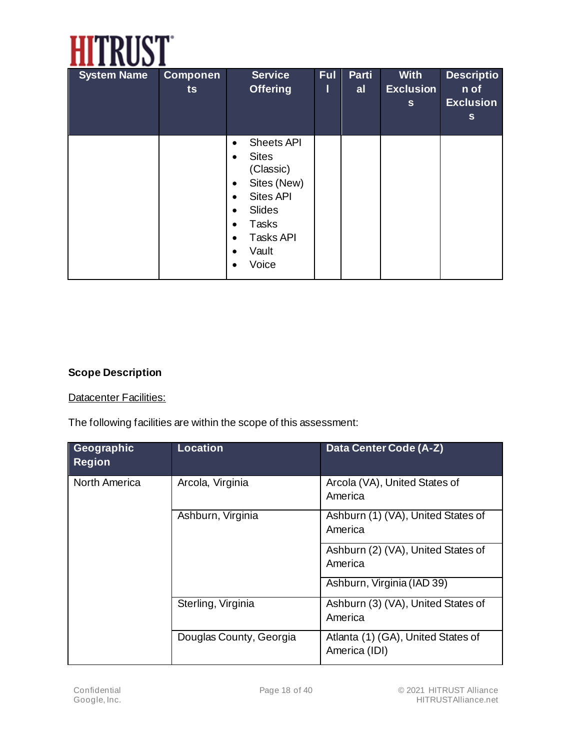

| <b>System Name</b> | <b>Componen</b><br>ts | <b>Service</b><br><b>Offering</b>                                                                                                                                                                                                                       | Ful<br>Ш | Parti<br>al | <b>With</b><br><b>Exclusion</b><br>$\mathbf{s}$ | <b>Descriptio</b><br>n of<br><b>Exclusion</b><br>s |
|--------------------|-----------------------|---------------------------------------------------------------------------------------------------------------------------------------------------------------------------------------------------------------------------------------------------------|----------|-------------|-------------------------------------------------|----------------------------------------------------|
|                    |                       | <b>Sheets API</b><br>$\bullet$<br><b>Sites</b><br>$\bullet$<br>(Classic)<br>Sites (New)<br>٠<br><b>Sites API</b><br>$\bullet$<br>Slides<br>$\bullet$<br>Tasks<br>$\bullet$<br><b>Tasks API</b><br>$\bullet$<br>Vault<br>$\bullet$<br>Voice<br>$\bullet$ |          |             |                                                 |                                                    |

#### **Scope Description**

#### **Datacenter Facilities:**

The following facilities are within the scope of this assessment:

| Geographic<br><b>Region</b> | <b>Location</b>         | <b>Data Center Code (A-Z)</b>                       |  |
|-----------------------------|-------------------------|-----------------------------------------------------|--|
| <b>North America</b>        | Arcola, Virginia        | Arcola (VA), United States of<br>America            |  |
|                             | Ashburn, Virginia       | Ashburn (1) (VA), United States of<br>America       |  |
|                             |                         | Ashburn (2) (VA), United States of<br>America       |  |
|                             |                         | Ashburn, Virginia (IAD 39)                          |  |
|                             | Sterling, Virginia      | Ashburn (3) (VA), United States of<br>America       |  |
|                             | Douglas County, Georgia | Atlanta (1) (GA), United States of<br>America (IDI) |  |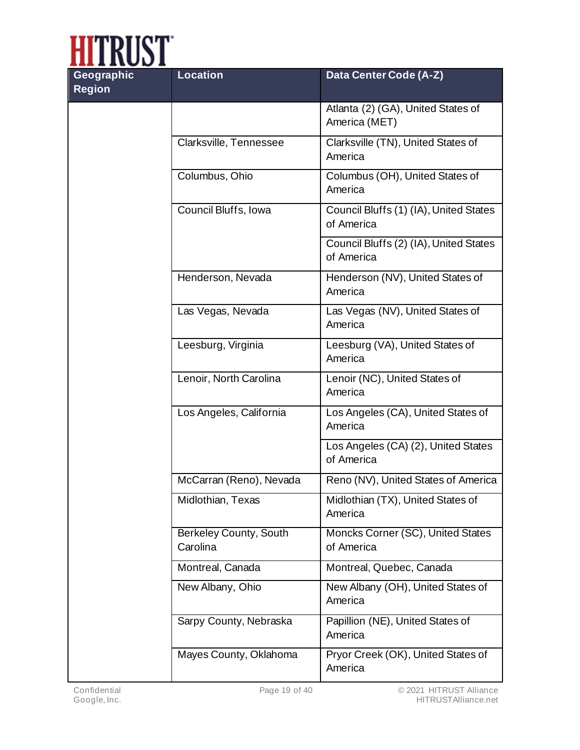

| Geographic<br><b>Region</b> | <b>Location</b>                           | Data Center Code (A-Z)                               |
|-----------------------------|-------------------------------------------|------------------------------------------------------|
|                             |                                           | Atlanta (2) (GA), United States of<br>America (MET)  |
|                             | Clarksville, Tennessee                    | Clarksville (TN), United States of<br>America        |
|                             | Columbus, Ohio                            | Columbus (OH), United States of<br>America           |
|                             | Council Bluffs, Iowa                      | Council Bluffs (1) (IA), United States<br>of America |
|                             |                                           | Council Bluffs (2) (IA), United States<br>of America |
|                             | Henderson, Nevada                         | Henderson (NV), United States of<br>America          |
|                             | Las Vegas, Nevada                         | Las Vegas (NV), United States of<br>America          |
|                             | Leesburg, Virginia                        | Leesburg (VA), United States of<br>America           |
|                             | Lenoir, North Carolina                    | Lenoir (NC), United States of<br>America             |
|                             | Los Angeles, California                   | Los Angeles (CA), United States of<br>America        |
|                             |                                           | Los Angeles (CA) (2), United States<br>of America    |
|                             | McCarran (Reno), Nevada                   | Reno (NV), United States of America                  |
|                             | Midlothian, Texas                         | Midlothian (TX), United States of<br>America         |
|                             | <b>Berkeley County, South</b><br>Carolina | Moncks Corner (SC), United States<br>of America      |
|                             | Montreal, Canada                          | Montreal, Quebec, Canada                             |
|                             | New Albany, Ohio                          | New Albany (OH), United States of<br>America         |
|                             | Sarpy County, Nebraska                    | Papillion (NE), United States of<br>America          |
|                             | Mayes County, Oklahoma                    | Pryor Creek (OK), United States of<br>America        |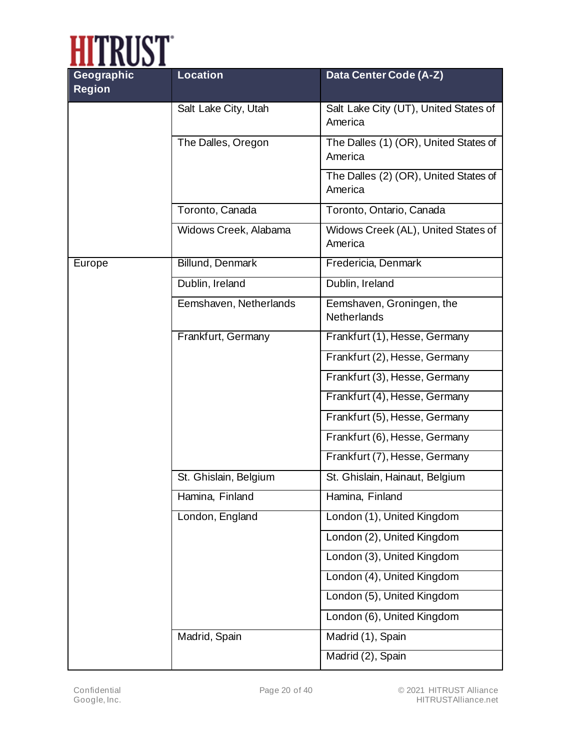

| Geographic<br><b>Region</b> | <b>Location</b>        | Data Center Code (A-Z)                           |  |  |
|-----------------------------|------------------------|--------------------------------------------------|--|--|
|                             | Salt Lake City, Utah   | Salt Lake City (UT), United States of<br>America |  |  |
|                             | The Dalles, Oregon     | The Dalles (1) (OR), United States of<br>America |  |  |
|                             |                        | The Dalles (2) (OR), United States of<br>America |  |  |
|                             | Toronto, Canada        | Toronto, Ontario, Canada                         |  |  |
|                             | Widows Creek, Alabama  | Widows Creek (AL), United States of<br>America   |  |  |
| Europe                      | Billund, Denmark       | Fredericia, Denmark                              |  |  |
|                             | Dublin, Ireland        | Dublin, Ireland                                  |  |  |
|                             | Eemshaven, Netherlands | Eemshaven, Groningen, the<br><b>Netherlands</b>  |  |  |
|                             | Frankfurt, Germany     | Frankfurt (1), Hesse, Germany                    |  |  |
|                             |                        | Frankfurt (2), Hesse, Germany                    |  |  |
|                             |                        | Frankfurt (3), Hesse, Germany                    |  |  |
|                             |                        | Frankfurt (4), Hesse, Germany                    |  |  |
|                             |                        | Frankfurt (5), Hesse, Germany                    |  |  |
|                             |                        | Frankfurt (6), Hesse, Germany                    |  |  |
|                             |                        | Frankfurt (7), Hesse, Germany                    |  |  |
|                             | St. Ghislain, Belgium  | St. Ghislain, Hainaut, Belgium                   |  |  |
|                             | Hamina, Finland        | Hamina, Finland                                  |  |  |
|                             | London, England        | London (1), United Kingdom                       |  |  |
|                             |                        | London (2), United Kingdom                       |  |  |
|                             |                        | London (3), United Kingdom                       |  |  |
|                             |                        | London (4), United Kingdom                       |  |  |
|                             |                        | London (5), United Kingdom                       |  |  |
|                             |                        | London (6), United Kingdom                       |  |  |
|                             | Madrid, Spain          | Madrid (1), Spain                                |  |  |
|                             |                        | Madrid (2), Spain                                |  |  |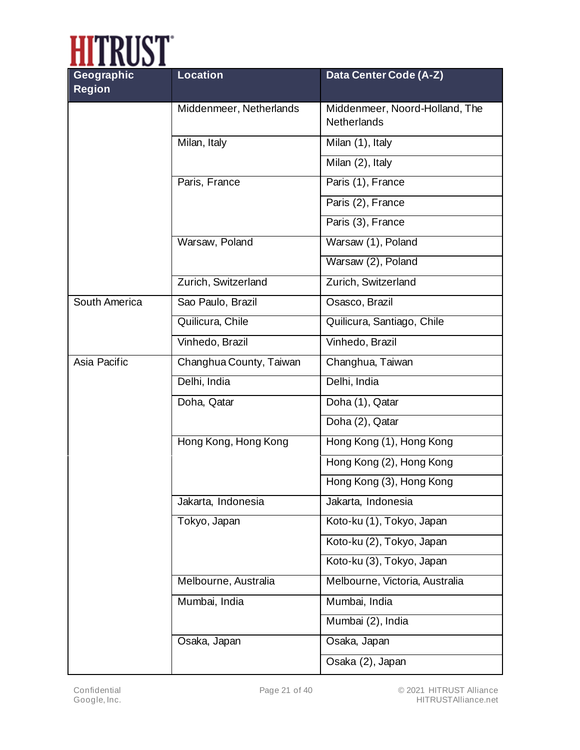

| Geographic<br><b>Region</b> | <b>Location</b>         | Data Center Code (A-Z)                               |  |  |
|-----------------------------|-------------------------|------------------------------------------------------|--|--|
|                             | Middenmeer, Netherlands | Middenmeer, Noord-Holland, The<br><b>Netherlands</b> |  |  |
|                             | Milan, Italy            | Milan (1), Italy                                     |  |  |
|                             |                         | Milan (2), Italy                                     |  |  |
|                             | Paris, France           | Paris (1), France                                    |  |  |
|                             |                         | Paris (2), France                                    |  |  |
|                             |                         | Paris (3), France                                    |  |  |
|                             | Warsaw, Poland          | Warsaw (1), Poland                                   |  |  |
|                             |                         | Warsaw (2), Poland                                   |  |  |
|                             | Zurich, Switzerland     | Zurich, Switzerland                                  |  |  |
| South America               | Sao Paulo, Brazil       | Osasco, Brazil                                       |  |  |
|                             | Quilicura, Chile        | Quilicura, Santiago, Chile                           |  |  |
|                             | Vinhedo, Brazil         | Vinhedo, Brazil                                      |  |  |
| Asia Pacific                | Changhua County, Taiwan | Changhua, Taiwan                                     |  |  |
|                             | Delhi, India            | Delhi, India                                         |  |  |
|                             | Doha, Qatar             | Doha (1), Qatar                                      |  |  |
|                             |                         | Doha (2), Qatar                                      |  |  |
|                             | Hong Kong, Hong Kong    | Hong Kong (1), Hong Kong                             |  |  |
|                             |                         | Hong Kong (2), Hong Kong                             |  |  |
|                             |                         | Hong Kong (3), Hong Kong                             |  |  |
|                             | Jakarta, Indonesia      | Jakarta, Indonesia                                   |  |  |
|                             | Tokyo, Japan            | Koto-ku (1), Tokyo, Japan                            |  |  |
|                             |                         | Koto-ku (2), Tokyo, Japan                            |  |  |
|                             |                         | Koto-ku (3), Tokyo, Japan                            |  |  |
|                             | Melbourne, Australia    | Melbourne, Victoria, Australia                       |  |  |
|                             | Mumbai, India           | Mumbai, India                                        |  |  |
|                             |                         | Mumbai (2), India                                    |  |  |
|                             | Osaka, Japan            | Osaka, Japan                                         |  |  |
|                             |                         | Osaka (2), Japan                                     |  |  |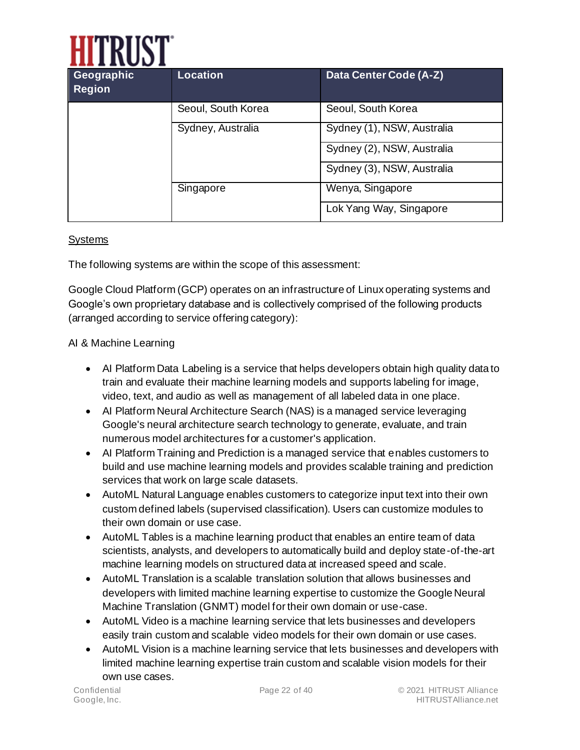

| Geographic<br><b>Region</b> | <b>Location</b>    | Data Center Code (A-Z)     |
|-----------------------------|--------------------|----------------------------|
|                             | Seoul, South Korea | Seoul, South Korea         |
|                             | Sydney, Australia  | Sydney (1), NSW, Australia |
|                             |                    | Sydney (2), NSW, Australia |
|                             |                    | Sydney (3), NSW, Australia |
|                             | Singapore          | Wenya, Singapore           |
|                             |                    | Lok Yang Way, Singapore    |

#### **Systems**

The following systems are within the scope of this assessment:

Google Cloud Platform (GCP) operates on an infrastructure of Linux operating systems and Google's own proprietary database and is collectively comprised of the following products (arranged according to service offering category):

#### AI & Machine Learning

- AI Platform Data Labeling is a service that helps developers obtain high quality data to train and evaluate their machine learning models and supports labeling for image, video, text, and audio as well as management of all labeled data in one place.
- AI Platform Neural Architecture Search (NAS) is a managed service leveraging Google's neural architecture search technology to generate, evaluate, and train numerous model architectures for a customer's application.
- AI Platform Training and Prediction is a managed service that enables customers to build and use machine learning models and provides scalable training and prediction services that work on large scale datasets.
- AutoML Natural Language enables customers to categorize input text into their own custom defined labels (supervised classification). Users can customize modules to their own domain or use case.
- AutoML Tables is a machine learning product that enables an entire team of data scientists, analysts, and developers to automatically build and deploy state-of-the-art machine learning models on structured data at increased speed and scale.
- AutoML Translation is a scalable translation solution that allows businesses and developers with limited machine learning expertise to customize the Google Neural Machine Translation (GNMT) model for their own domain or use-case.
- AutoML Video is a machine learning service that lets businesses and developers easily train custom and scalable video models for their own domain or use cases.
- AutoML Vision is a machine learning service that lets businesses and developers with limited machine learning expertise train custom and scalable vision models for their own use cases.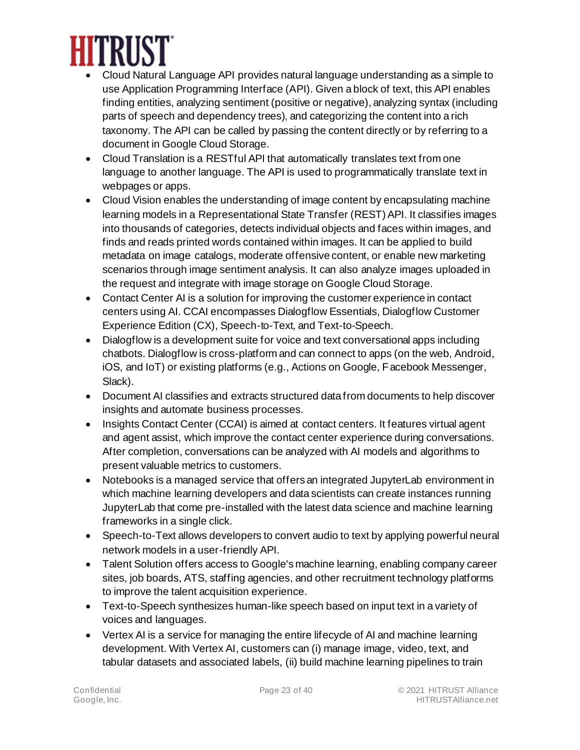

- Cloud Natural Language API provides natural language understanding as a simple to use Application Programming Interface (API). Given a block of text, this API enables finding entities, analyzing sentiment (positive or negative), analyzing syntax (including parts of speech and dependency trees), and categorizing the content into a rich taxonomy. The API can be called by passing the content directly or by referring to a document in Google Cloud Storage.
- Cloud Translation is a RESTful API that automatically translates text from one language to another language. The API is used to programmatically translate text in webpages or apps.
- Cloud Vision enables the understanding of image content by encapsulating machine learning models in a Representational State Transfer (REST) API. It classifies images into thousands of categories, detects individual objects and faces within images, and finds and reads printed words contained within images. It can be applied to build metadata on image catalogs, moderate offensive content, or enable new marketing scenarios through image sentiment analysis. It can also analyze images uploaded in the request and integrate with image storage on Google Cloud Storage.
- Contact Center AI is a solution for improving the customer experience in contact centers using AI. CCAI encompasses Dialogflow Essentials, Dialogflow Customer Experience Edition (CX), Speech-to-Text, and Text-to-Speech.
- Dialogflow is a development suite for voice and text conversational apps including chatbots. Dialogflow is cross-platform and can connect to apps (on the web, Android, iOS, and IoT) or existing platforms (e.g., Actions on Google, Facebook Messenger, Slack).
- Document AI classifies and extracts structured data from documents to help discover insights and automate business processes.
- Insights Contact Center (CCAI) is aimed at contact centers. It features virtual agent and agent assist, which improve the contact center experience during conversations. After completion, conversations can be analyzed with AI models and algorithms to present valuable metrics to customers.
- Notebooks is a managed service that offers an integrated JupyterLab environment in which machine learning developers and data scientists can create instances running JupyterLab that come pre-installed with the latest data science and machine learning frameworks in a single click.
- Speech-to-Text allows developers to convert audio to text by applying powerful neural network models in a user-friendly API.
- Talent Solution offers access to Google's machine learning, enabling company career sites, job boards, ATS, staffing agencies, and other recruitment technology platforms to improve the talent acquisition experience.
- Text-to-Speech synthesizes human-like speech based on input text in a variety of voices and languages.
- Vertex AI is a service for managing the entire lifecycle of AI and machine learning development. With Vertex AI, customers can (i) manage image, video, text, and tabular datasets and associated labels, (ii) build machine learning pipelines to train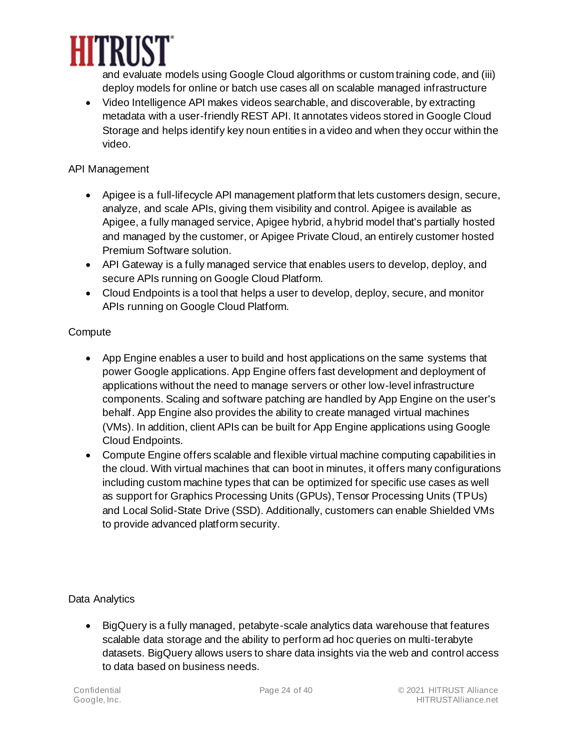

and evaluate models using Google Cloud algorithms or custom training code, and (iii) deploy models for online or batch use cases all on scalable managed infrastructure

• Video Intelligence API makes videos searchable, and discoverable, by extracting metadata with a user-friendly REST API. It annotates videos stored in Google Cloud Storage and helps identify key noun entities in a video and when they occur within the video.

#### API Management

- Apigee is a full-lifecycle API management platform that lets customers design, secure, analyze, and scale APIs, giving them visibility and control. Apigee is available as Apigee, a fully managed service, Apigee hybrid, a hybrid model that's partially hosted and managed by the customer, or Apigee Private Cloud, an entirely customer hosted Premium Software solution.
- API Gateway is a fully managed service that enables users to develop, deploy, and secure APIs running on Google Cloud Platform.
- Cloud Endpoints is a tool that helps a user to develop, deploy, secure, and monitor APIs running on Google Cloud Platform.

#### **Compute**

- App Engine enables a user to build and host applications on the same systems that power Google applications. App Engine offers fast development and deployment of applications without the need to manage servers or other low-level infrastructure components. Scaling and software patching are handled by App Engine on the user's behalf. App Engine also provides the ability to create managed virtual machines (VMs). In addition, client APIs can be built for App Engine applications using Google Cloud Endpoints.
- Compute Engine offers scalable and flexible virtual machine computing capabilities in the cloud. With virtual machines that can boot in minutes, it offers many configurations including custom machine types that can be optimized for specific use cases as well as support for Graphics Processing Units (GPUs), Tensor Processing Units (TPUs) and Local Solid-State Drive (SSD). Additionally, customers can enable Shielded VMs to provide advanced platform security.

Data Analytics

• BigQuery is a fully managed, petabyte-scale analytics data warehouse that features scalable data storage and the ability to perform ad hoc queries on multi-terabyte datasets. BigQuery allows users to share data insights via the web and control access to data based on business needs.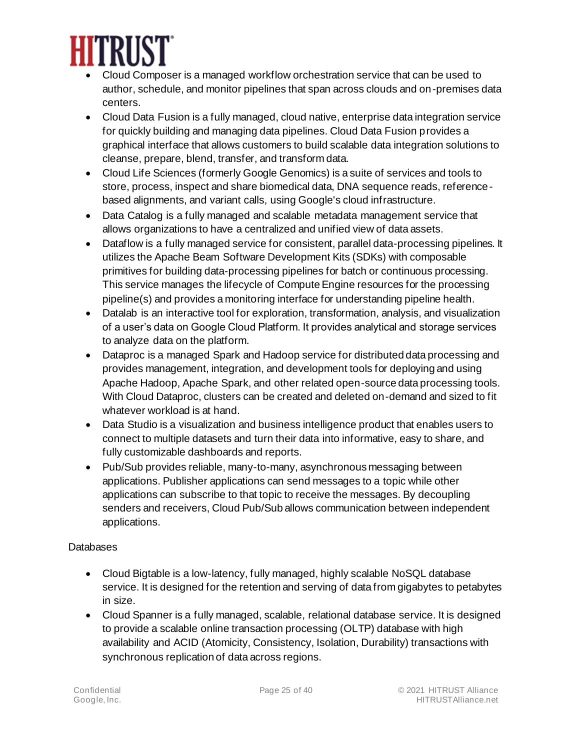

- Cloud Composer is a managed workflow orchestration service that can be used to author, schedule, and monitor pipelines that span across clouds and on-premises data centers.
- Cloud Data Fusion is a fully managed, cloud native, enterprise data integration service for quickly building and managing data pipelines. Cloud Data Fusion provides a graphical interface that allows customers to build scalable data integration solutions to cleanse, prepare, blend, transfer, and transform data.
- Cloud Life Sciences (formerly Google Genomics) is a suite of services and tools to store, process, inspect and share biomedical data, DNA sequence reads, referencebased alignments, and variant calls, using Google's cloud infrastructure.
- Data Catalog is a fully managed and scalable metadata management service that allows organizations to have a centralized and unified view of data assets.
- Dataflow is a fully managed service for consistent, parallel data-processing pipelines. It utilizes the Apache Beam Software Development Kits (SDKs) with composable primitives for building data-processing pipelines for batch or continuous processing. This service manages the lifecycle of Compute Engine resources for the processing pipeline(s) and provides a monitoring interface for understanding pipeline health.
- Datalab is an interactive tool for exploration, transformation, analysis, and visualization of a user's data on Google Cloud Platform. It provides analytical and storage services to analyze data on the platform.
- Dataproc is a managed Spark and Hadoop service for distributed data processing and provides management, integration, and development tools for deploying and using Apache Hadoop, Apache Spark, and other related open-source data processing tools. With Cloud Dataproc, clusters can be created and deleted on-demand and sized to fit whatever workload is at hand.
- Data Studio is a visualization and business intelligence product that enables users to connect to multiple datasets and turn their data into informative, easy to share, and fully customizable dashboards and reports.
- Pub/Sub provides reliable, many-to-many, asynchronous messaging between applications. Publisher applications can send messages to a topic while other applications can subscribe to that topic to receive the messages. By decoupling senders and receivers, Cloud Pub/Sub allows communication between independent applications.

#### **Databases**

- Cloud Bigtable is a low-latency, fully managed, highly scalable NoSQL database service. It is designed for the retention and serving of data from gigabytes to petabytes in size.
- Cloud Spanner is a fully managed, scalable, relational database service. It is designed to provide a scalable online transaction processing (OLTP) database with high availability and ACID (Atomicity, Consistency, Isolation, Durability) transactions with synchronous replication of data across regions.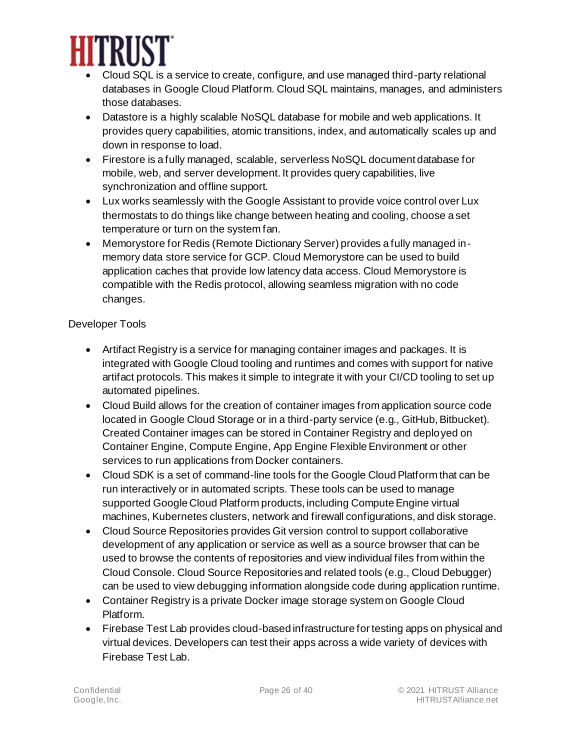

- Cloud SQL is a service to create, configure, and use managed third-party relational databases in Google Cloud Platform. Cloud SQL maintains, manages, and administers those databases.
- Datastore is a highly scalable NoSQL database for mobile and web applications. It provides query capabilities, atomic transitions, index, and automatically scales up and down in response to load.
- Firestore is a fully managed, scalable, serverless NoSQL document database for mobile, web, and server development. It provides query capabilities, live synchronization and offline support.
- Lux works seamlessly with the Google Assistant to provide voice control over Lux thermostats to do things like change between heating and cooling, choose a set temperature or turn on the system fan.
- Memorystore for Redis (Remote Dictionary Server) provides a fully managed inmemory data store service for GCP. Cloud Memorystore can be used to build application caches that provide low latency data access. Cloud Memorystore is compatible with the Redis protocol, allowing seamless migration with no code changes.

#### Developer Tools

- Artifact Registry is a service for managing container images and packages. It is integrated with Google Cloud tooling and runtimes and comes with support for native artifact protocols. This makes it simple to integrate it with your CI/CD tooling to set up automated pipelines.
- Cloud Build allows for the creation of container images from application source code located in Google Cloud Storage or in a third-party service (e.g., GitHub, Bitbucket). Created Container images can be stored in Container Registry and deployed on Container Engine, Compute Engine, App Engine Flexible Environment or other services to run applications from Docker containers.
- Cloud SDK is a set of command-line tools for the Google Cloud Platform that can be run interactively or in automated scripts. These tools can be used to manage supported Google Cloud Platform products, including Compute Engine virtual machines, Kubernetes clusters, network and firewall configurations, and disk storage.
- Cloud Source Repositories provides Git version control to support collaborative development of any application or service as well as a source browser that can be used to browse the contents of repositories and view individual files from within the Cloud Console. Cloud Source Repositories and related tools (e.g., Cloud Debugger) can be used to view debugging information alongside code during application runtime.
- Container Registry is a private Docker image storage system on Google Cloud Platform.
- Firebase Test Lab provides cloud-based infrastructure for testing apps on physical and virtual devices. Developers can test their apps across a wide variety of devices with Firebase Test Lab.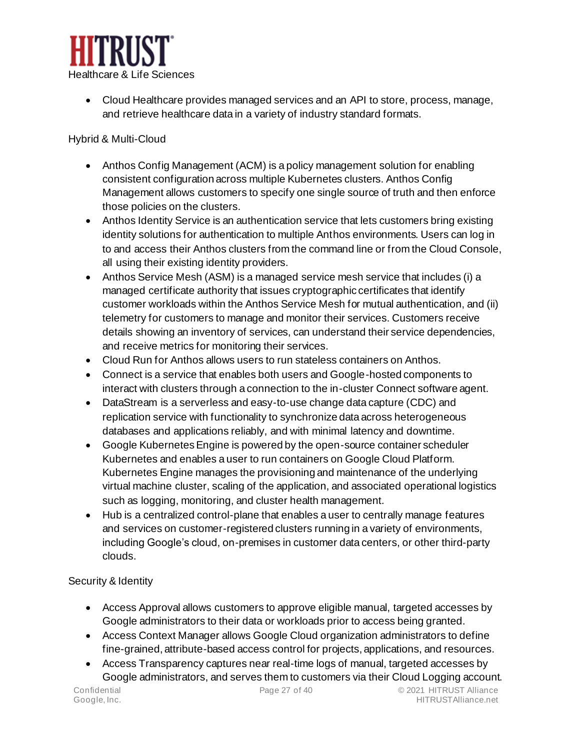

• Cloud Healthcare provides managed services and an API to store, process, manage, and retrieve healthcare data in a variety of industry standard formats.

#### Hybrid & Multi-Cloud

- Anthos Config Management (ACM) is a policy management solution for enabling consistent configuration across multiple Kubernetes clusters. Anthos Config Management allows customers to specify one single source of truth and then enforce those policies on the clusters.
- Anthos Identity Service is an authentication service that lets customers bring existing identity solutions for authentication to multiple Anthos environments. Users can log in to and access their Anthos clusters from the command line or from the Cloud Console, all using their existing identity providers.
- Anthos Service Mesh (ASM) is a managed service mesh service that includes (i) a managed certificate authority that issues cryptographic certificates that identify customer workloads within the Anthos Service Mesh for mutual authentication, and (ii) telemetry for customers to manage and monitor their services. Customers receive details showing an inventory of services, can understand their service dependencies, and receive metrics for monitoring their services.
- Cloud Run for Anthos allows users to run stateless containers on Anthos.
- Connect is a service that enables both users and Google-hosted components to interact with clusters through a connection to the in-cluster Connect software agent.
- DataStream is a serverless and easy-to-use change data capture (CDC) and replication service with functionality to synchronize data across heterogeneous databases and applications reliably, and with minimal latency and downtime.
- Google Kubernetes Engine is powered by the open-source container scheduler Kubernetes and enables a user to run containers on Google Cloud Platform. Kubernetes Engine manages the provisioning and maintenance of the underlying virtual machine cluster, scaling of the application, and associated operational logistics such as logging, monitoring, and cluster health management.
- Hub is a centralized control-plane that enables a user to centrally manage features and services on customer-registered clusters running in a variety of environments, including Google's cloud, on-premises in customer data centers, or other third-party clouds.

#### Security & Identity

- Access Approval allows customers to approve eligible manual, targeted accesses by Google administrators to their data or workloads prior to access being granted.
- Access Context Manager allows Google Cloud organization administrators to define fine-grained, attribute-based access control for projects, applications, and resources.
- Access Transparency captures near real-time logs of manual, targeted accesses by Google administrators, and serves them to customers via their Cloud Logging account.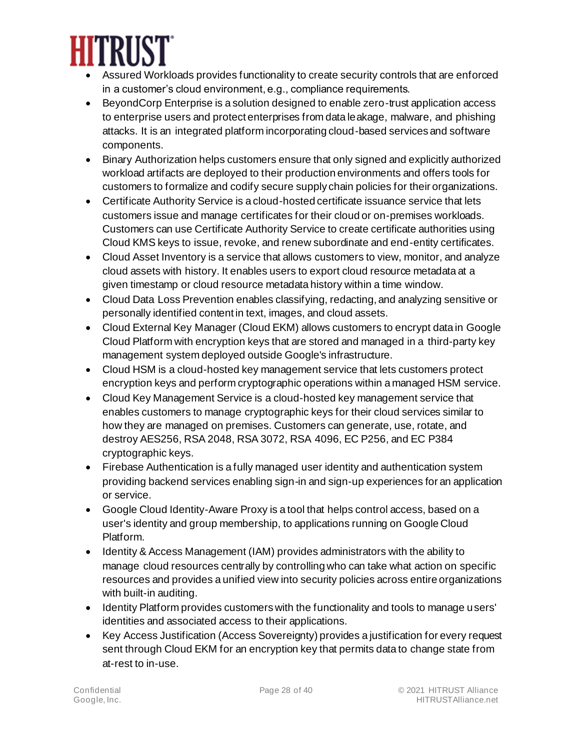

- Assured Workloads provides functionality to create security controls that are enforced in a customer's cloud environment, e.g., compliance requirements.
- BeyondCorp Enterprise is a solution designed to enable zero-trust application access to enterprise users and protect enterprises from data leakage, malware, and phishing attacks. It is an integrated platform incorporating cloud-based services and software components.
- Binary Authorization helps customers ensure that only signed and explicitly authorized workload artifacts are deployed to their production environments and offers tools for customers to formalize and codify secure supply chain policies for their organizations.
- Certificate Authority Service is a cloud-hosted certificate issuance service that lets customers issue and manage certificates for their cloud or on-premises workloads. Customers can use Certificate Authority Service to create certificate authorities using Cloud KMS keys to issue, revoke, and renew subordinate and end-entity certificates.
- Cloud Asset Inventory is a service that allows customers to view, monitor, and analyze cloud assets with history. It enables users to export cloud resource metadata at a given timestamp or cloud resource metadata history within a time window.
- Cloud Data Loss Prevention enables classifying, redacting, and analyzing sensitive or personally identified content in text, images, and cloud assets.
- Cloud External Key Manager (Cloud EKM) allows customers to encrypt data in Google Cloud Platform with encryption keys that are stored and managed in a third-party key management system deployed outside Google's infrastructure.
- Cloud HSM is a cloud-hosted key management service that lets customers protect encryption keys and perform cryptographic operations within a managed HSM service.
- Cloud Key Management Service is a cloud-hosted key management service that enables customers to manage cryptographic keys for their cloud services similar to how they are managed on premises. Customers can generate, use, rotate, and destroy AES256, RSA 2048, RSA 3072, RSA 4096, EC P256, and EC P384 cryptographic keys.
- Firebase Authentication is a fully managed user identity and authentication system providing backend services enabling sign-in and sign-up experiences for an application or service.
- Google Cloud Identity-Aware Proxy is a tool that helps control access, based on a user's identity and group membership, to applications running on Google Cloud Platform.
- Identity & Access Management (IAM) provides administrators with the ability to manage cloud resources centrally by controlling who can take what action on specific resources and provides a unified view into security policies across entire organizations with built-in auditing.
- Identity Platform provides customers with the functionality and tools to manage users' identities and associated access to their applications.
- Key Access Justification (Access Sovereignty) provides a justification for every request sent through Cloud EKM for an encryption key that permits data to change state from at-rest to in-use.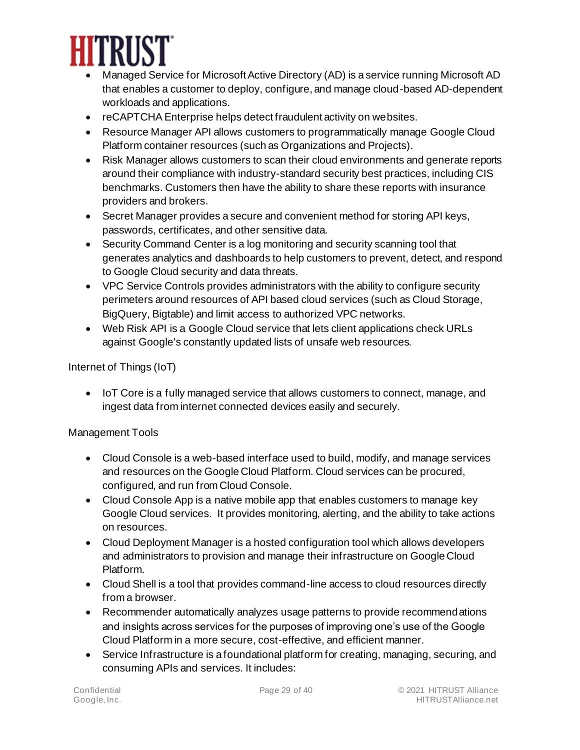

- Managed Service for Microsoft Active Directory (AD) is a service running Microsoft AD that enables a customer to deploy, configure, and manage cloud-based AD-dependent workloads and applications.
- reCAPTCHA Enterprise helps detect fraudulent activity on websites.
- Resource Manager API allows customers to programmatically manage Google Cloud Platform container resources (such as Organizations and Projects).
- Risk Manager allows customers to scan their cloud environments and generate reports around their compliance with industry-standard security best practices, including CIS benchmarks. Customers then have the ability to share these reports with insurance providers and brokers.
- Secret Manager provides a secure and convenient method for storing API keys, passwords, certificates, and other sensitive data.
- Security Command Center is a log monitoring and security scanning tool that generates analytics and dashboards to help customers to prevent, detect, and respond to Google Cloud security and data threats.
- VPC Service Controls provides administrators with the ability to configure security perimeters around resources of API based cloud services (such as Cloud Storage, BigQuery, Bigtable) and limit access to authorized VPC networks.
- Web Risk API is a Google Cloud service that lets client applications check URLs against Google's constantly updated lists of unsafe web resources.

Internet of Things (IoT)

• IoT Core is a fully managed service that allows customers to connect, manage, and ingest data from internet connected devices easily and securely.

#### Management Tools

- Cloud Console is a web-based interface used to build, modify, and manage services and resources on the Google Cloud Platform. Cloud services can be procured, configured, and run from Cloud Console.
- Cloud Console App is a native mobile app that enables customers to manage key Google Cloud services. It provides monitoring, alerting, and the ability to take actions on resources.
- Cloud Deployment Manager is a hosted configuration tool which allows developers and administrators to provision and manage their infrastructure on Google Cloud Platform.
- Cloud Shell is a tool that provides command-line access to cloud resources directly from a browser.
- Recommender automatically analyzes usage patterns to provide recommendations and insights across services for the purposes of improving one's use of the Google Cloud Platform in a more secure, cost-effective, and efficient manner.
- Service Infrastructure is a foundational platform for creating, managing, securing, and consuming APIs and services. It includes: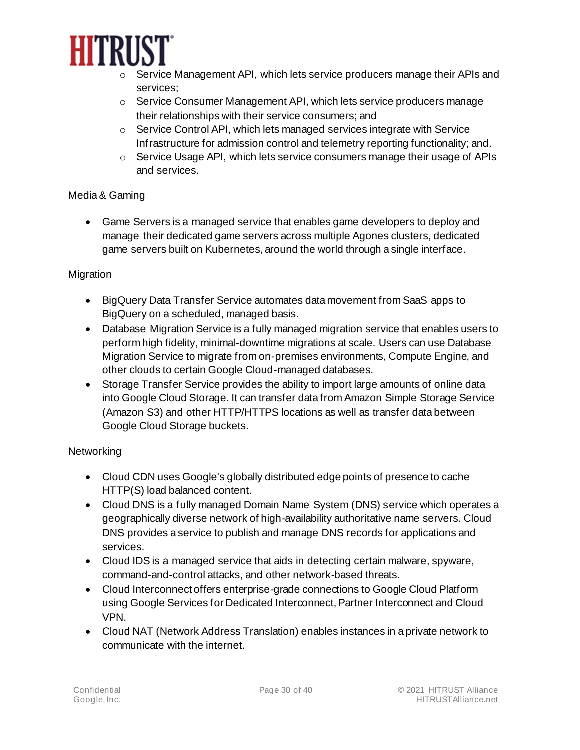

- $\circ$  Service Management API, which lets service producers manage their APIs and services;
- $\circ$  Service Consumer Management API, which lets service producers manage their relationships with their service consumers; and
- o Service Control API, which lets managed services integrate with Service Infrastructure for admission control and telemetry reporting functionality; and.
- $\circ$  Service Usage API, which lets service consumers manage their usage of APIs and services.

#### Media & Gaming

• Game Servers is a managed service that enables game developers to deploy and manage their dedicated game servers across multiple Agones clusters, dedicated game servers built on Kubernetes, around the world through a single interface.

#### Migration

- BigQuery Data Transfer Service automates data movement from SaaS apps to BigQuery on a scheduled, managed basis.
- Database Migration Service is a fully managed migration service that enables users to perform high fidelity, minimal-downtime migrations at scale. Users can use Database Migration Service to migrate from on-premises environments, Compute Engine, and other clouds to certain Google Cloud-managed databases.
- Storage Transfer Service provides the ability to import large amounts of online data into Google Cloud Storage. It can transfer data from Amazon Simple Storage Service (Amazon S3) and other HTTP/HTTPS locations as well as transfer data between Google Cloud Storage buckets.

#### **Networking**

- Cloud CDN uses Google's globally distributed edge points of presence to cache HTTP(S) load balanced content.
- Cloud DNS is a fully managed Domain Name System (DNS) service which operates a geographically diverse network of high-availability authoritative name servers. Cloud DNS provides a service to publish and manage DNS records for applications and services.
- Cloud IDS is a managed service that aids in detecting certain malware, spyware, command-and-control attacks, and other network-based threats.
- Cloud Interconnect offers enterprise-grade connections to Google Cloud Platform using Google Services for Dedicated Interconnect, Partner Interconnect and Cloud VPN.
- Cloud NAT (Network Address Translation) enables instances in a private network to communicate with the internet.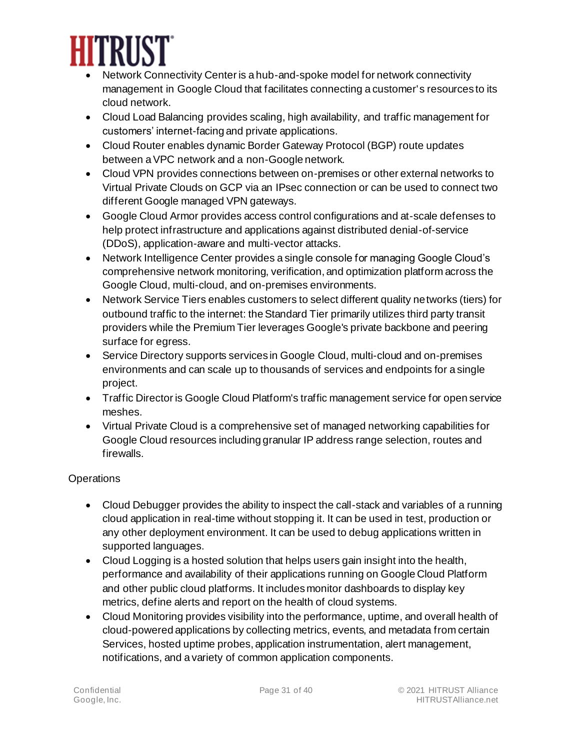

- Network Connectivity Center is a hub-and-spoke model for network connectivity management in Google Cloud that facilitates connecting a customer's resources to its cloud network.
- Cloud Load Balancing provides scaling, high availability, and traffic management for customers' internet-facing and private applications.
- Cloud Router enables dynamic Border Gateway Protocol (BGP) route updates between a VPC network and a non-Google network.
- Cloud VPN provides connections between on-premises or other external networks to Virtual Private Clouds on GCP via an IPsec connection or can be used to connect two different Google managed VPN gateways.
- Google Cloud Armor provides access control configurations and at-scale defenses to help protect infrastructure and applications against distributed denial-of-service (DDoS), application-aware and multi-vector attacks.
- Network Intelligence Center provides a single console for managing Google Cloud's comprehensive network monitoring, verification, and optimization platform across the Google Cloud, multi-cloud, and on-premises environments.
- Network Service Tiers enables customers to select different quality networks (tiers) for outbound traffic to the internet: the Standard Tier primarily utilizes third party transit providers while the Premium Tier leverages Google's private backbone and peering surface for egress.
- Service Directory supports services in Google Cloud, multi-cloud and on-premises environments and can scale up to thousands of services and endpoints for a single project.
- Traffic Director is Google Cloud Platform's traffic management service for open service meshes.
- Virtual Private Cloud is a comprehensive set of managed networking capabilities for Google Cloud resources including granular IP address range selection, routes and firewalls.

#### **Operations**

- Cloud Debugger provides the ability to inspect the call-stack and variables of a running cloud application in real-time without stopping it. It can be used in test, production or any other deployment environment. It can be used to debug applications written in supported languages.
- Cloud Logging is a hosted solution that helps users gain insight into the health, performance and availability of their applications running on Google Cloud Platform and other public cloud platforms. It includes monitor dashboards to display key metrics, define alerts and report on the health of cloud systems.
- Cloud Monitoring provides visibility into the performance, uptime, and overall health of cloud-powered applications by collecting metrics, events, and metadata from certain Services, hosted uptime probes, application instrumentation, alert management, notifications, and a variety of common application components.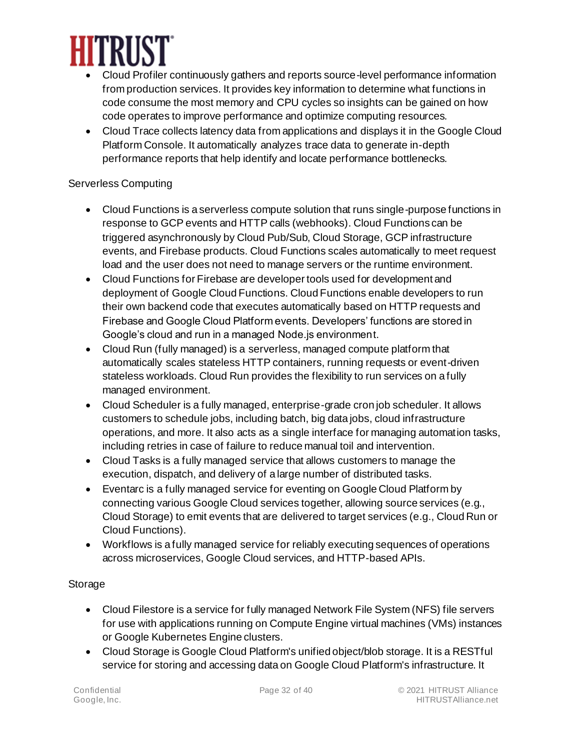

- Cloud Profiler continuously gathers and reports source-level performance information from production services. It provides key information to determine what functions in code consume the most memory and CPU cycles so insights can be gained on how code operates to improve performance and optimize computing resources.
- Cloud Trace collects latency data from applications and displays it in the Google Cloud Platform Console. It automatically analyzes trace data to generate in-depth performance reports that help identify and locate performance bottlenecks.

#### Serverless Computing

- Cloud Functions is a serverless compute solution that runs single-purpose functions in response to GCP events and HTTP calls (webhooks). Cloud Functions can be triggered asynchronously by Cloud Pub/Sub, Cloud Storage, GCP infrastructure events, and Firebase products. Cloud Functions scales automatically to meet request load and the user does not need to manage servers or the runtime environment.
- Cloud Functions for Firebase are developer tools used for development and deployment of Google Cloud Functions. Cloud Functions enable developers to run their own backend code that executes automatically based on HTTP requests and Firebase and Google Cloud Platform events. Developers' functions are stored in Google's cloud and run in a managed Node.js environment.
- Cloud Run (fully managed) is a serverless, managed compute platform that automatically scales stateless HTTP containers, running requests or event-driven stateless workloads. Cloud Run provides the flexibility to run services on a fully managed environment.
- Cloud Scheduler is a fully managed, enterprise-grade cron job scheduler. It allows customers to schedule jobs, including batch, big data jobs, cloud infrastructure operations, and more. It also acts as a single interface for managing automation tasks, including retries in case of failure to reduce manual toil and intervention.
- Cloud Tasks is a fully managed service that allows customers to manage the execution, dispatch, and delivery of a large number of distributed tasks.
- Eventarc is a fully managed service for eventing on Google Cloud Platform by connecting various Google Cloud services together, allowing source services (e.g., Cloud Storage) to emit events that are delivered to target services (e.g., Cloud Run or Cloud Functions).
- Workflows is a fully managed service for reliably executing sequences of operations across microservices, Google Cloud services, and HTTP-based APIs.

#### **Storage**

- Cloud Filestore is a service for fully managed Network File System (NFS) file servers for use with applications running on Compute Engine virtual machines (VMs) instances or Google Kubernetes Engine clusters.
- Cloud Storage is Google Cloud Platform's unified object/blob storage. It is a RESTful service for storing and accessing data on Google Cloud Platform's infrastructure. It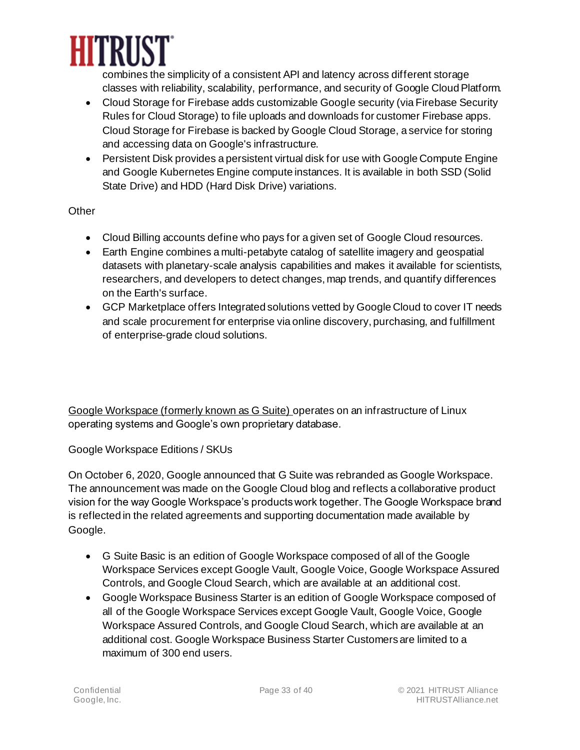

combines the simplicity of a consistent API and latency across different storage classes with reliability, scalability, performance, and security of Google Cloud Platform.

- Cloud Storage for Firebase adds customizable Google security (via Firebase Security Rules for Cloud Storage) to file uploads and downloads for customer Firebase apps. Cloud Storage for Firebase is backed by Google Cloud Storage, a service for storing and accessing data on Google's infrastructure.
- Persistent Disk provides a persistent virtual disk for use with Google Compute Engine and Google Kubernetes Engine compute instances. It is available in both SSD (Solid State Drive) and HDD (Hard Disk Drive) variations.

#### **Other**

- Cloud Billing accounts define who pays for a given set of Google Cloud resources.
- Earth Engine combines a multi-petabyte catalog of satellite imagery and geospatial datasets with planetary-scale analysis capabilities and makes it available for scientists, researchers, and developers to detect changes, map trends, and quantify differences on the Earth's surface.
- GCP Marketplace offers Integrated solutions vetted by Google Cloud to cover IT needs and scale procurement for enterprise via online discovery, purchasing, and fulfillment of enterprise-grade cloud solutions.

Google Workspace (formerly known as G Suite) operates on an infrastructure of Linux operating systems and Google's own proprietary database.

Google Workspace Editions / SKUs

On October 6, 2020, Google announced that G Suite was rebranded as Google Workspace. The announcement was made on the Google Cloud blog and reflects a collaborative product vision for the way Google Workspace's products work together. The Google Workspace brand is reflected in the related agreements and supporting documentation made available by Google.

- G Suite Basic is an edition of Google Workspace composed of all of the Google Workspace Services except Google Vault, Google Voice, Google Workspace Assured Controls, and Google Cloud Search, which are available at an additional cost.
- Google Workspace Business Starter is an edition of Google Workspace composed of all of the Google Workspace Services except Google Vault, Google Voice, Google Workspace Assured Controls, and Google Cloud Search, which are available at an additional cost. Google Workspace Business Starter Customers are limited to a maximum of 300 end users.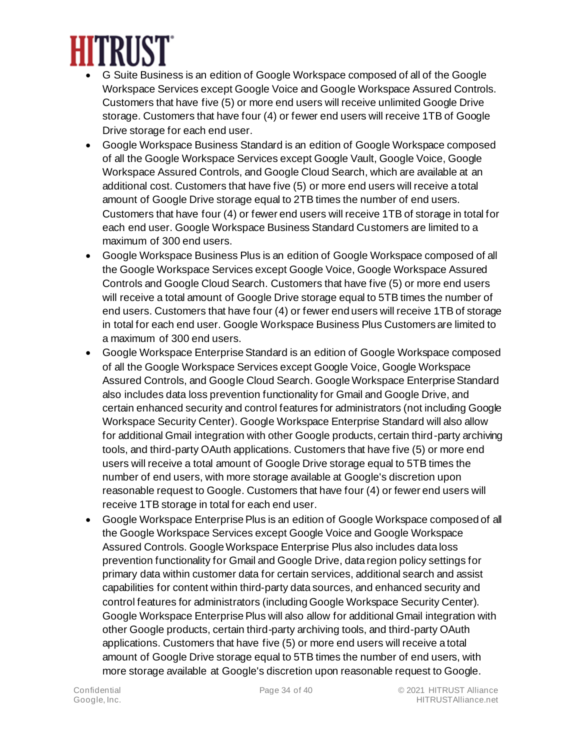

- G Suite Business is an edition of Google Workspace composed of all of the Google Workspace Services except Google Voice and Google Workspace Assured Controls. Customers that have five (5) or more end users will receive unlimited Google Drive storage. Customers that have four (4) or fewer end users will receive 1TB of Google Drive storage for each end user.
- Google Workspace Business Standard is an edition of Google Workspace composed of all the Google Workspace Services except Google Vault, Google Voice, Google Workspace Assured Controls, and Google Cloud Search, which are available at an additional cost. Customers that have five (5) or more end users will receive a total amount of Google Drive storage equal to 2TB times the number of end users. Customers that have four (4) or fewer end users will receive 1TB of storage in total for each end user. Google Workspace Business Standard Customers are limited to a maximum of 300 end users.
- Google Workspace Business Plus is an edition of Google Workspace composed of all the Google Workspace Services except Google Voice, Google Workspace Assured Controls and Google Cloud Search. Customers that have five (5) or more end users will receive a total amount of Google Drive storage equal to 5TB times the number of end users. Customers that have four (4) or fewer end users will receive 1TB of storage in total for each end user. Google Workspace Business Plus Customers are limited to a maximum of 300 end users.
- Google Workspace Enterprise Standard is an edition of Google Workspace composed of all the Google Workspace Services except Google Voice, Google Workspace Assured Controls, and Google Cloud Search. Google Workspace Enterprise Standard also includes data loss prevention functionality for Gmail and Google Drive, and certain enhanced security and control features for administrators (not including Google Workspace Security Center). Google Workspace Enterprise Standard will also allow for additional Gmail integration with other Google products, certain third-party archiving tools, and third-party OAuth applications. Customers that have five (5) or more end users will receive a total amount of Google Drive storage equal to 5TB times the number of end users, with more storage available at Google's discretion upon reasonable request to Google. Customers that have four (4) or fewer end users will receive 1TB storage in total for each end user.
- Google Workspace Enterprise Plus is an edition of Google Workspace composed of all the Google Workspace Services except Google Voice and Google Workspace Assured Controls. Google Workspace Enterprise Plus also includes data loss prevention functionality for Gmail and Google Drive, data region policy settings for primary data within customer data for certain services, additional search and assist capabilities for content within third-party data sources, and enhanced security and control features for administrators (including Google Workspace Security Center). Google Workspace Enterprise Plus will also allow for additional Gmail integration with other Google products, certain third-party archiving tools, and third-party OAuth applications. Customers that have five (5) or more end users will receive a total amount of Google Drive storage equal to 5TB times the number of end users, with more storage available at Google's discretion upon reasonable request to Google.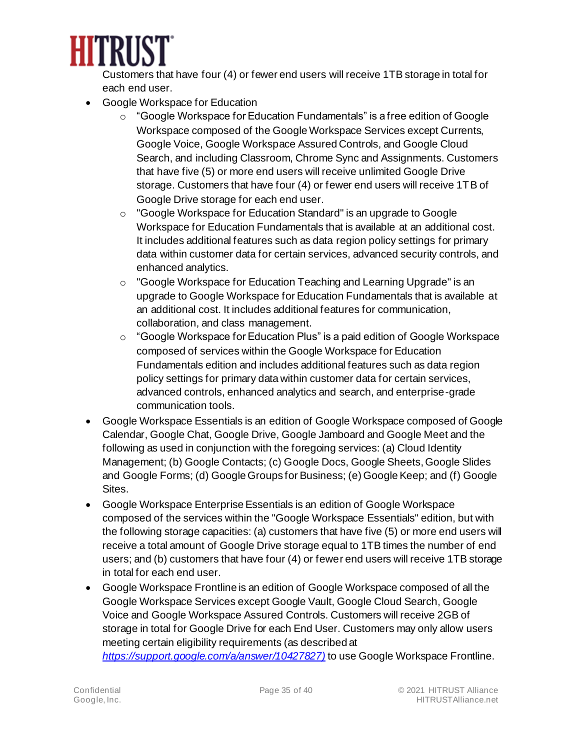

Customers that have four (4) or fewer end users will receive 1TB storage in total for each end user.

- Google Workspace for Education
	- $\circ$  "Google Workspace for Education Fundamentals" is a free edition of Google Workspace composed of the Google Workspace Services except Currents, Google Voice, Google Workspace Assured Controls, and Google Cloud Search, and including Classroom, Chrome Sync and Assignments. Customers that have five (5) or more end users will receive unlimited Google Drive storage. Customers that have four (4) or fewer end users will receive 1TB of Google Drive storage for each end user.
	- o "Google Workspace for Education Standard" is an upgrade to Google Workspace for Education Fundamentals that is available at an additional cost. It includes additional features such as data region policy settings for primary data within customer data for certain services, advanced security controls, and enhanced analytics.
	- o "Google Workspace for Education Teaching and Learning Upgrade" is an upgrade to Google Workspace for Education Fundamentals that is available at an additional cost. It includes additional features for communication, collaboration, and class management.
	- o "Google Workspace for Education Plus" is a paid edition of Google Workspace composed of services within the Google Workspace for Education Fundamentals edition and includes additional features such as data region policy settings for primary data within customer data for certain services, advanced controls, enhanced analytics and search, and enterprise-grade communication tools.
- Google Workspace Essentials is an edition of Google Workspace composed of Google Calendar, Google Chat, Google Drive, Google Jamboard and Google Meet and the following as used in conjunction with the foregoing services: (a) Cloud Identity Management; (b) Google Contacts; (c) Google Docs, Google Sheets, Google Slides and Google Forms; (d) Google Groups for Business; (e) Google Keep; and (f) Google Sites.
- Google Workspace Enterprise Essentials is an edition of Google Workspace composed of the services within the "Google Workspace Essentials" edition, but with the following storage capacities: (a) customers that have five (5) or more end users will receive a total amount of Google Drive storage equal to 1TB times the number of end users; and (b) customers that have four (4) or fewer end users will receive 1TB storage in total for each end user.
- Google Workspace Frontline is an edition of Google Workspace composed of all the Google Workspace Services except Google Vault, Google Cloud Search, Google Voice and Google Workspace Assured Controls. Customers will receive 2GB of storage in total for Google Drive for each End User. Customers may only allow users meeting certain eligibility requirements (as described at *[https://support.google.com/a/answer/10427827\)](https://support.google.com/a/answer/10427827))* to use Google Workspace Frontline.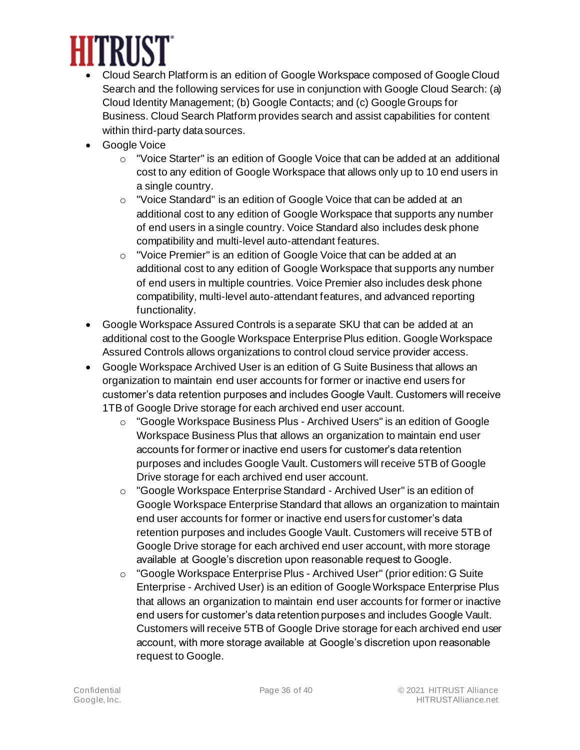

- Cloud Search Platform is an edition of Google Workspace composed of Google Cloud Search and the following services for use in conjunction with Google Cloud Search: (a) Cloud Identity Management; (b) Google Contacts; and (c) Google Groups for Business. Cloud Search Platform provides search and assist capabilities for content within third-party data sources.
- Google Voice
	- $\circ$  "Voice Starter" is an edition of Google Voice that can be added at an additional cost to any edition of Google Workspace that allows only up to 10 end users in a single country.
	- o "Voice Standard" is an edition of Google Voice that can be added at an additional cost to any edition of Google Workspace that supports any number of end users in a single country. Voice Standard also includes desk phone compatibility and multi-level auto-attendant features.
	- o "Voice Premier" is an edition of Google Voice that can be added at an additional cost to any edition of Google Workspace that supports any number of end users in multiple countries. Voice Premier also includes desk phone compatibility, multi-level auto-attendant features, and advanced reporting functionality.
- Google Workspace Assured Controls is a separate SKU that can be added at an additional cost to the Google Workspace Enterprise Plus edition. Google Workspace Assured Controls allows organizations to control cloud service provider access.
- Google Workspace Archived User is an edition of G Suite Business that allows an organization to maintain end user accounts for former or inactive end users for customer's data retention purposes and includes Google Vault. Customers will receive 1TB of Google Drive storage for each archived end user account.
	- o "Google Workspace Business Plus Archived Users" is an edition of Google Workspace Business Plus that allows an organization to maintain end user accounts for former or inactive end users for customer's data retention purposes and includes Google Vault. Customers will receive 5TB of Google Drive storage for each archived end user account.
	- $\circ$  "Google Workspace Enterprise Standard Archived User" is an edition of Google Workspace Enterprise Standard that allows an organization to maintain end user accounts for former or inactive end users for customer's data retention purposes and includes Google Vault. Customers will receive 5TB of Google Drive storage for each archived end user account, with more storage available at Google's discretion upon reasonable request to Google.
	- o "Google Workspace Enterprise Plus Archived User" (prior edition: G Suite Enterprise - Archived User) is an edition of Google Workspace Enterprise Plus that allows an organization to maintain end user accounts for former or inactive end users for customer's data retention purposes and includes Google Vault. Customers will receive 5TB of Google Drive storage for each archived end user account, with more storage available at Google's discretion upon reasonable request to Google.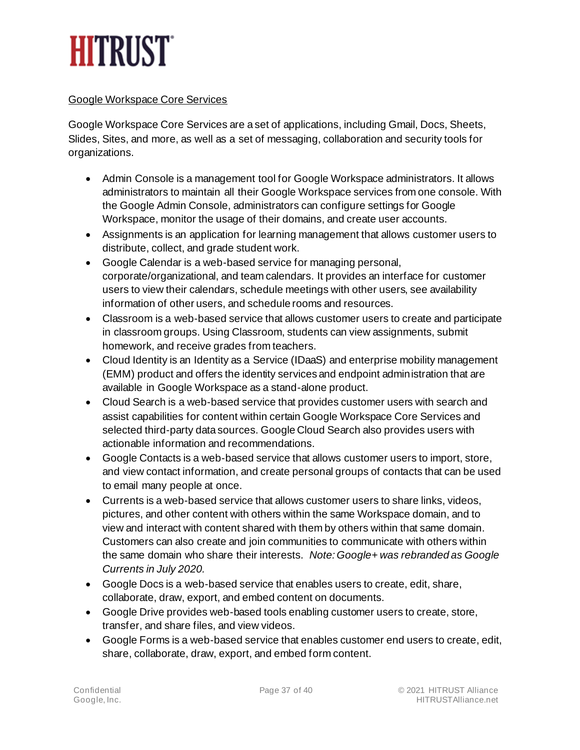## **HITRUST**

#### Google Workspace Core Services

Google Workspace Core Services are a set of applications, including Gmail, Docs, Sheets, Slides, Sites, and more, as well as a set of messaging, collaboration and security tools for organizations.

- Admin Console is a management tool for Google Workspace administrators. It allows administrators to maintain all their Google Workspace services from one console. With the Google Admin Console, administrators can configure settings for Google Workspace, monitor the usage of their domains, and create user accounts.
- Assignments is an application for learning management that allows customer users to distribute, collect, and grade student work.
- Google Calendar is a web-based service for managing personal, corporate/organizational, and team calendars. It provides an interface for customer users to view their calendars, schedule meetings with other users, see availability information of other users, and schedule rooms and resources.
- Classroom is a web-based service that allows customer users to create and participate in classroom groups. Using Classroom, students can view assignments, submit homework, and receive grades from teachers.
- Cloud Identity is an Identity as a Service (IDaaS) and enterprise mobility management (EMM) product and offers the identity services and endpoint administration that are available in Google Workspace as a stand-alone product.
- Cloud Search is a web-based service that provides customer users with search and assist capabilities for content within certain Google Workspace Core Services and selected third-party data sources. Google Cloud Search also provides users with actionable information and recommendations.
- Google Contacts is a web-based service that allows customer users to import, store, and view contact information, and create personal groups of contacts that can be used to email many people at once.
- Currents is a web-based service that allows customer users to share links, videos, pictures, and other content with others within the same Workspace domain, and to view and interact with content shared with them by others within that same domain. Customers can also create and join communities to communicate with others within the same domain who share their interests. *Note: Google+ was rebranded as Google Currents in July 2020.*
- Google Docs is a web-based service that enables users to create, edit, share, collaborate, draw, export, and embed content on documents.
- Google Drive provides web-based tools enabling customer users to create, store, transfer, and share files, and view videos.
- Google Forms is a web-based service that enables customer end users to create, edit, share, collaborate, draw, export, and embed form content.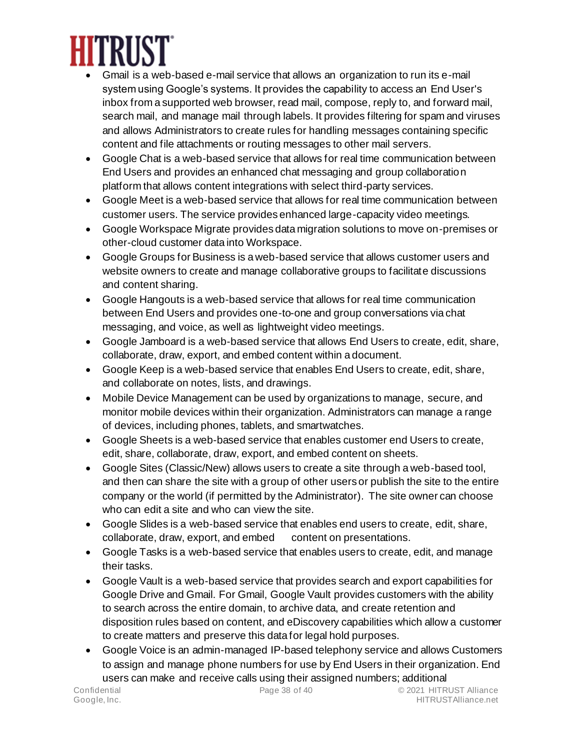

- Gmail is a web-based e-mail service that allows an organization to run its e-mail system using Google's systems. It provides the capability to access an End User's inbox from a supported web browser, read mail, compose, reply to, and forward mail, search mail, and manage mail through labels. It provides filtering for spam and viruses and allows Administrators to create rules for handling messages containing specific content and file attachments or routing messages to other mail servers.
- Google Chat is a web-based service that allows for real time communication between End Users and provides an enhanced chat messaging and group collaboration platform that allows content integrations with select third-party services.
- Google Meet is a web-based service that allows for real time communication between customer users. The service provides enhanced large-capacity video meetings.
- Google Workspace Migrate provides data migration solutions to move on-premises or other-cloud customer data into Workspace.
- Google Groups for Business is a web-based service that allows customer users and website owners to create and manage collaborative groups to facilitate discussions and content sharing.
- Google Hangouts is a web-based service that allows for real time communication between End Users and provides one-to-one and group conversations via chat messaging, and voice, as well as lightweight video meetings.
- Google Jamboard is a web-based service that allows End Users to create, edit, share, collaborate, draw, export, and embed content within a document.
- Google Keep is a web-based service that enables End Users to create, edit, share, and collaborate on notes, lists, and drawings.
- Mobile Device Management can be used by organizations to manage, secure, and monitor mobile devices within their organization. Administrators can manage a range of devices, including phones, tablets, and smartwatches.
- Google Sheets is a web-based service that enables customer end Users to create, edit, share, collaborate, draw, export, and embed content on sheets.
- Google Sites (Classic/New) allows users to create a site through a web-based tool, and then can share the site with a group of other users or publish the site to the entire company or the world (if permitted by the Administrator). The site owner can choose who can edit a site and who can view the site.
- Google Slides is a web-based service that enables end users to create, edit, share, collaborate, draw, export, and embed content on presentations.
- Google Tasks is a web-based service that enables users to create, edit, and manage their tasks.
- Google Vault is a web-based service that provides search and export capabilities for Google Drive and Gmail. For Gmail, Google Vault provides customers with the ability to search across the entire domain, to archive data, and create retention and disposition rules based on content, and eDiscovery capabilities which allow a customer to create matters and preserve this data for legal hold purposes.
- Google Voice is an admin-managed IP-based telephony service and allows Customers to assign and manage phone numbers for use by End Users in their organization. End users can make and receive calls using their assigned numbers; additional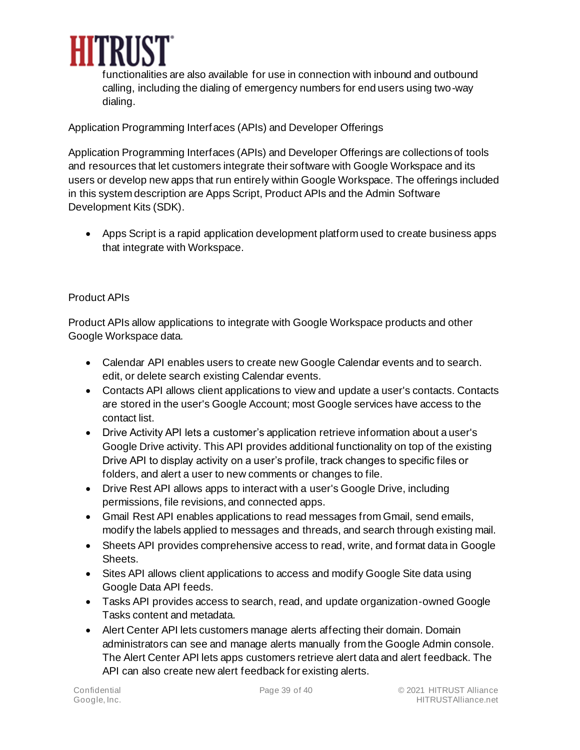

functionalities are also available for use in connection with inbound and outbound calling, including the dialing of emergency numbers for end users using two-way dialing.

Application Programming Interfaces (APIs) and Developer Offerings

Application Programming Interfaces (APIs) and Developer Offerings are collections of tools and resources that let customers integrate their software with Google Workspace and its users or develop new apps that run entirely within Google Workspace. The offerings included in this system description are Apps Script, Product APIs and the Admin Software Development Kits (SDK).

• Apps Script is a rapid application development platform used to create business apps that integrate with Workspace.

#### Product APIs

Product APIs allow applications to integrate with Google Workspace products and other Google Workspace data.

- Calendar API enables users to create new Google Calendar events and to search. edit, or delete search existing Calendar events.
- Contacts API allows client applications to view and update a user's contacts. Contacts are stored in the user's Google Account; most Google services have access to the contact list.
- Drive Activity API lets a customer's application retrieve information about a user's Google Drive activity. This API provides additional functionality on top of the existing Drive API to display activity on a user's profile, track changes to specific files or folders, and alert a user to new comments or changes to file.
- Drive Rest API allows apps to interact with a user's Google Drive, including permissions, file revisions, and connected apps.
- Gmail Rest API enables applications to read messages from Gmail, send emails, modify the labels applied to messages and threads, and search through existing mail.
- Sheets API provides comprehensive access to read, write, and format data in Google Sheets.
- Sites API allows client applications to access and modify Google Site data using Google Data API feeds.
- Tasks API provides access to search, read, and update organization-owned Google Tasks content and metadata.
- Alert Center API lets customers manage alerts affecting their domain. Domain administrators can see and manage alerts manually from the Google Admin console. The Alert Center API lets apps customers retrieve alert data and alert feedback. The API can also create new alert feedback for existing alerts.